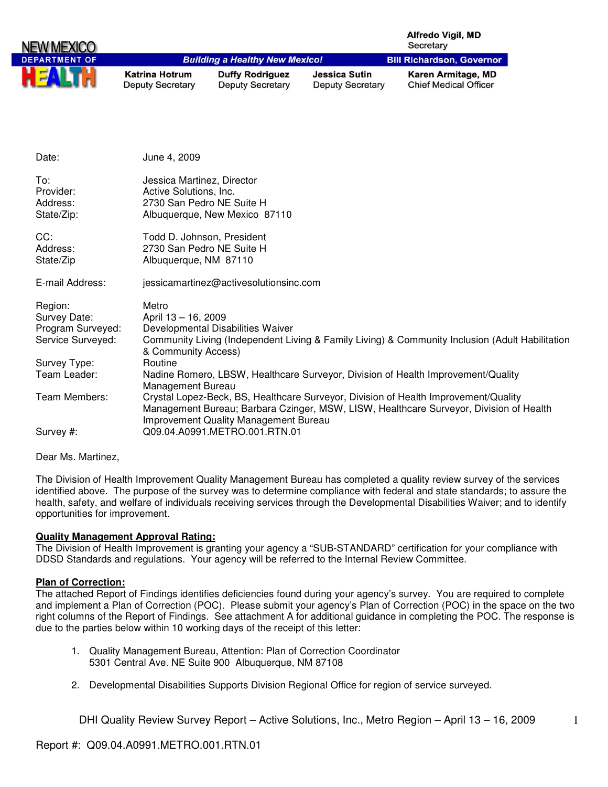|                      |                                                  |                                                   |                                                 | <b>Alfredo Vigil, MD</b><br>Secretary                                                           |
|----------------------|--------------------------------------------------|---------------------------------------------------|-------------------------------------------------|-------------------------------------------------------------------------------------------------|
| <b>DEPARTMENT OF</b> |                                                  | <b>Building a Healthy New Mexico!</b>             |                                                 | <b>Bill Richardson, Governor</b>                                                                |
|                      | <b>Katrina Hotrum</b><br><b>Deputy Secretary</b> | <b>Duffy Rodriguez</b><br><b>Deputy Secretary</b> | <b>Jessica Sutin</b><br><b>Deputy Secretary</b> | Karen Armitage, MD<br><b>Chief Medical Officer</b>                                              |
|                      |                                                  |                                                   |                                                 |                                                                                                 |
| Date:                | June 4, 2009                                     |                                                   |                                                 |                                                                                                 |
| To:                  | Jessica Martinez, Director                       |                                                   |                                                 |                                                                                                 |
| Provider:            | Active Solutions, Inc.                           |                                                   |                                                 |                                                                                                 |
| Address:             |                                                  | 2730 San Pedro NE Suite H                         |                                                 |                                                                                                 |
| State/Zip:           |                                                  | Albuquerque, New Mexico 87110                     |                                                 |                                                                                                 |
| CC:                  |                                                  | Todd D. Johnson, President                        |                                                 |                                                                                                 |
| Address:             |                                                  | 2730 San Pedro NE Suite H                         |                                                 |                                                                                                 |
| State/Zip            | Albuquerque, NM 87110                            |                                                   |                                                 |                                                                                                 |
| E-mail Address:      |                                                  | jessicamartinez@activesolutionsinc.com            |                                                 |                                                                                                 |
| Region:              | Metro                                            |                                                   |                                                 |                                                                                                 |
| Survey Date:         | April 13 - 16, 2009                              |                                                   |                                                 |                                                                                                 |
| Program Surveyed:    |                                                  | Developmental Disabilities Waiver                 |                                                 |                                                                                                 |
| Service Surveyed:    | & Community Access)                              |                                                   |                                                 | Community Living (Independent Living & Family Living) & Community Inclusion (Adult Habilitation |

Team Leader: Nadine Romero, LBSW, Healthcare Surveyor, Division of Health Improvement/Quality

Team Members: Crystal Lopez-Beck, BS, Healthcare Surveyor, Division of Health Improvement/Quality

Improvement Quality Management Bureau

The Division of Health Improvement Quality Management Bureau has completed a quality review survey of the services identified above. The purpose of the survey was to determine compliance with federal and state standards; to assure the health, safety, and welfare of individuals receiving services through the Developmental Disabilities Waiver; and to identify opportunities for improvement.

Management Bureau; Barbara Czinger, MSW, LISW, Healthcare Surveyor, Division of Health

#### **Quality Management Approval Rating:**

Survey Type: Routine

Management Bureau

Survey #: Q09.04.A0991.METRO.001.RTN.01

The Division of Health Improvement is granting your agency a "SUB-STANDARD" certification for your compliance with DDSD Standards and regulations. Your agency will be referred to the Internal Review Committee.

#### **Plan of Correction:**

Dear Ms. Martinez,

The attached Report of Findings identifies deficiencies found during your agency's survey. You are required to complete and implement a Plan of Correction (POC). Please submit your agency's Plan of Correction (POC) in the space on the two right columns of the Report of Findings. See attachment A for additional guidance in completing the POC. The response is due to the parties below within 10 working days of the receipt of this letter:

- 1. Quality Management Bureau, Attention: Plan of Correction Coordinator 5301 Central Ave. NE Suite 900 Albuquerque, NM 87108
- 2. Developmental Disabilities Supports Division Regional Office for region of service surveyed.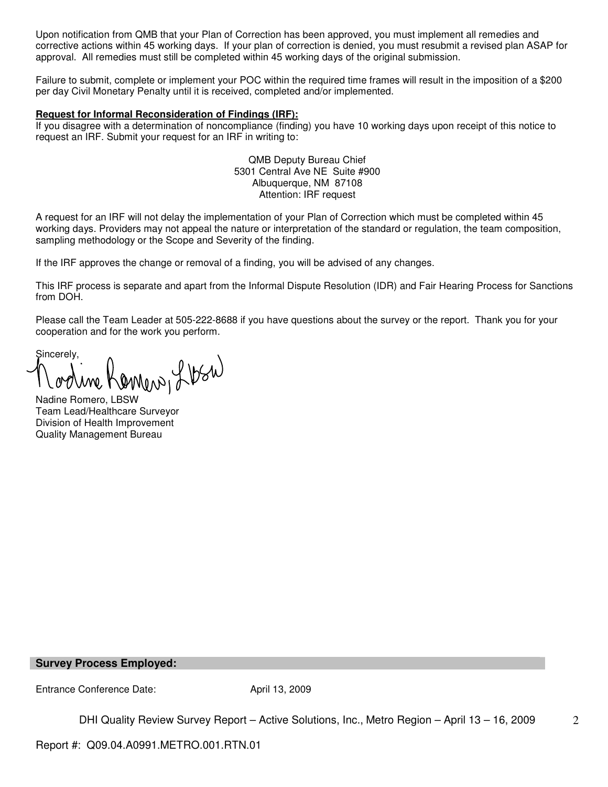Upon notification from QMB that your Plan of Correction has been approved, you must implement all remedies and corrective actions within 45 working days. If your plan of correction is denied, you must resubmit a revised plan ASAP for approval. All remedies must still be completed within 45 working days of the original submission.

Failure to submit, complete or implement your POC within the required time frames will result in the imposition of a \$200 per day Civil Monetary Penalty until it is received, completed and/or implemented.

#### **Request for Informal Reconsideration of Findings (IRF):**

If you disagree with a determination of noncompliance (finding) you have 10 working days upon receipt of this notice to request an IRF. Submit your request for an IRF in writing to:

> QMB Deputy Bureau Chief 5301 Central Ave NE Suite #900 Albuquerque, NM 87108 Attention: IRF request

A request for an IRF will not delay the implementation of your Plan of Correction which must be completed within 45 working days. Providers may not appeal the nature or interpretation of the standard or regulation, the team composition, sampling methodology or the Scope and Severity of the finding.

If the IRF approves the change or removal of a finding, you will be advised of any changes.

This IRF process is separate and apart from the Informal Dispute Resolution (IDR) and Fair Hearing Process for Sanctions from DOH.

Please call the Team Leader at 505-222-8688 if you have questions about the survey or the report. Thank you for your cooperation and for the work you perform.

Sincerely, Nadine Romero, LBSW

Team Lead/Healthcare Surveyor Division of Health Improvement Quality Management Bureau

#### **Survey Process Employed:**

Entrance Conference Date: April 13, 2009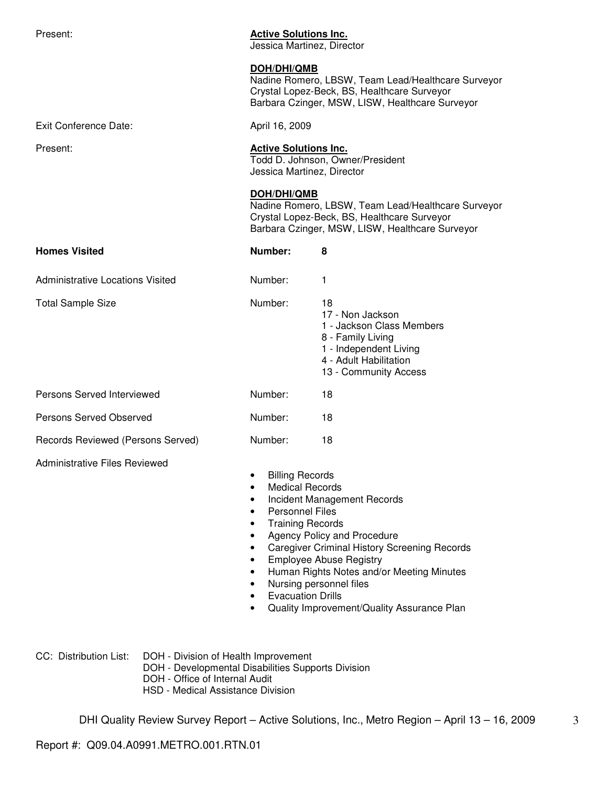| Present:                                | <b>Active Solutions Inc.</b><br>Jessica Martinez, Director                                                                                                    |                                                                                                                                                                                                                             |
|-----------------------------------------|---------------------------------------------------------------------------------------------------------------------------------------------------------------|-----------------------------------------------------------------------------------------------------------------------------------------------------------------------------------------------------------------------------|
|                                         | <b>DOH/DHI/QMB</b>                                                                                                                                            | Nadine Romero, LBSW, Team Lead/Healthcare Surveyor<br>Crystal Lopez-Beck, BS, Healthcare Surveyor<br>Barbara Czinger, MSW, LISW, Healthcare Surveyor                                                                        |
| <b>Exit Conference Date:</b>            | April 16, 2009                                                                                                                                                |                                                                                                                                                                                                                             |
| Present:                                | <b>Active Solutions Inc.</b><br>Jessica Martinez, Director                                                                                                    | Todd D. Johnson, Owner/President                                                                                                                                                                                            |
|                                         | DOH/DHI/QMB                                                                                                                                                   | Nadine Romero, LBSW, Team Lead/Healthcare Surveyor<br>Crystal Lopez-Beck, BS, Healthcare Surveyor<br>Barbara Czinger, MSW, LISW, Healthcare Surveyor                                                                        |
| <b>Homes Visited</b>                    | Number:                                                                                                                                                       | 8                                                                                                                                                                                                                           |
| <b>Administrative Locations Visited</b> | Number:                                                                                                                                                       | 1                                                                                                                                                                                                                           |
| <b>Total Sample Size</b>                | Number:                                                                                                                                                       | 18<br>17 - Non Jackson<br>1 - Jackson Class Members<br>8 - Family Living<br>1 - Independent Living<br>4 - Adult Habilitation<br>13 - Community Access                                                                       |
| Persons Served Interviewed              | Number:                                                                                                                                                       | 18                                                                                                                                                                                                                          |
| Persons Served Observed                 | Number:                                                                                                                                                       | 18                                                                                                                                                                                                                          |
| Records Reviewed (Persons Served)       | Number:                                                                                                                                                       | 18                                                                                                                                                                                                                          |
| <b>Administrative Files Reviewed</b>    | <b>Billing Records</b><br><b>Medical Records</b><br><b>Personnel Files</b><br><b>Training Records</b><br>$\bullet$<br>٠<br>٠<br>٠<br><b>Evacuation Drills</b> | Incident Management Records<br>Agency Policy and Procedure<br><b>Caregiver Criminal History Screening Records</b><br><b>Employee Abuse Registry</b><br>Human Rights Notes and/or Meeting Minutes<br>Nursing personnel files |

• Quality Improvement/Quality Assurance Plan

CC: Distribution List: DOH - Division of Health Improvement

- DOH Developmental Disabilities Supports Division
- DOH Office of Internal Audit
- HSD Medical Assistance Division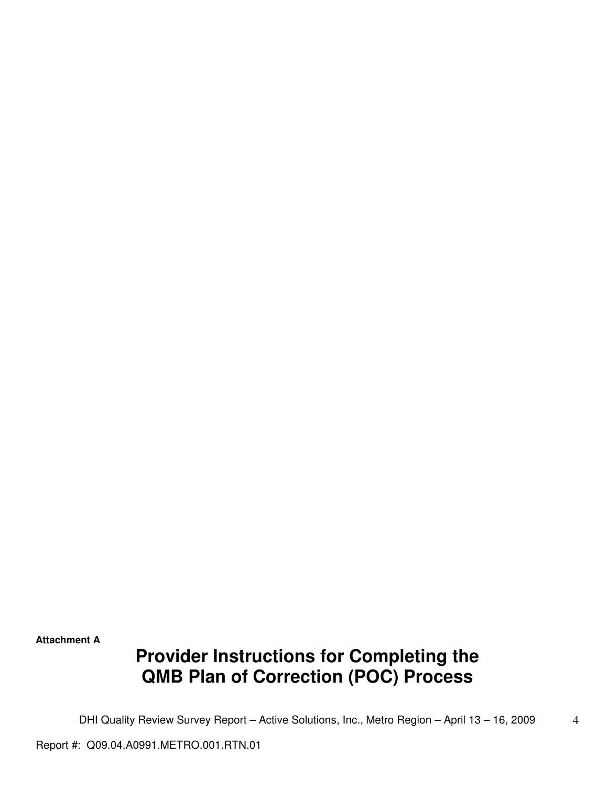**Attachment A** 

# **Provider Instructions for Completing the QMB Plan of Correction (POC) Process**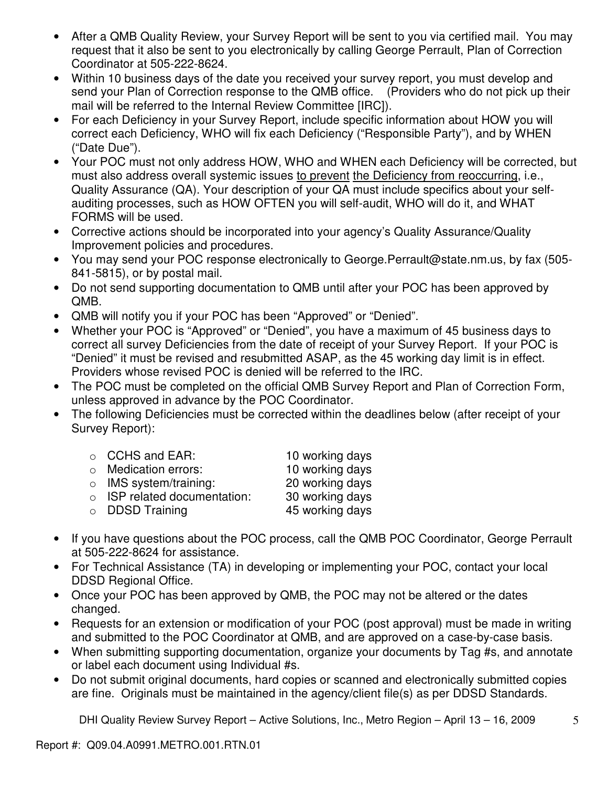- After a QMB Quality Review, your Survey Report will be sent to you via certified mail. You may request that it also be sent to you electronically by calling George Perrault, Plan of Correction Coordinator at 505-222-8624.
- Within 10 business days of the date you received your survey report, you must develop and send your Plan of Correction response to the QMB office. (Providers who do not pick up their mail will be referred to the Internal Review Committee [IRC]).
- For each Deficiency in your Survey Report, include specific information about HOW you will correct each Deficiency, WHO will fix each Deficiency ("Responsible Party"), and by WHEN ("Date Due").
- Your POC must not only address HOW, WHO and WHEN each Deficiency will be corrected, but must also address overall systemic issues to prevent the Deficiency from reoccurring, i.e., Quality Assurance (QA). Your description of your QA must include specifics about your selfauditing processes, such as HOW OFTEN you will self-audit, WHO will do it, and WHAT FORMS will be used.
- Corrective actions should be incorporated into your agency's Quality Assurance/Quality Improvement policies and procedures.
- You may send your POC response electronically to George.Perrault@state.nm.us, by fax (505- 841-5815), or by postal mail.
- Do not send supporting documentation to QMB until after your POC has been approved by QMB.
- QMB will notify you if your POC has been "Approved" or "Denied".
- Whether your POC is "Approved" or "Denied", you have a maximum of 45 business days to correct all survey Deficiencies from the date of receipt of your Survey Report. If your POC is "Denied" it must be revised and resubmitted ASAP, as the 45 working day limit is in effect. Providers whose revised POC is denied will be referred to the IRC.
- The POC must be completed on the official QMB Survey Report and Plan of Correction Form, unless approved in advance by the POC Coordinator.
- The following Deficiencies must be corrected within the deadlines below (after receipt of your Survey Report):

| $\circ$ CCHS and EAR:              | 10 working days |
|------------------------------------|-----------------|
| o Medication errors:               | 10 working days |
| $\circ$ IMS system/training:       | 20 working days |
| $\circ$ ISP related documentation: | 30 working days |
| $\circ$ DDSD Training              | 45 working days |
|                                    |                 |

- If you have questions about the POC process, call the QMB POC Coordinator, George Perrault at 505-222-8624 for assistance.
- For Technical Assistance (TA) in developing or implementing your POC, contact your local DDSD Regional Office.
- Once your POC has been approved by QMB, the POC may not be altered or the dates changed.
- Requests for an extension or modification of your POC (post approval) must be made in writing and submitted to the POC Coordinator at QMB, and are approved on a case-by-case basis.
- When submitting supporting documentation, organize your documents by Tag #s, and annotate or label each document using Individual #s.
- Do not submit original documents, hard copies or scanned and electronically submitted copies are fine. Originals must be maintained in the agency/client file(s) as per DDSD Standards.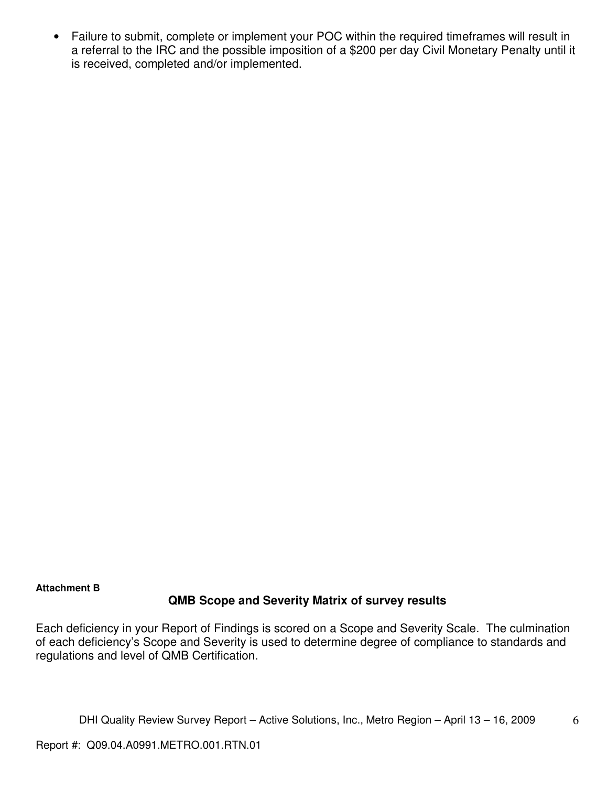• Failure to submit, complete or implement your POC within the required timeframes will result in a referral to the IRC and the possible imposition of a \$200 per day Civil Monetary Penalty until it is received, completed and/or implemented.

## **Attachment B**

## **QMB Scope and Severity Matrix of survey results**

Each deficiency in your Report of Findings is scored on a Scope and Severity Scale. The culmination of each deficiency's Scope and Severity is used to determine degree of compliance to standards and regulations and level of QMB Certification.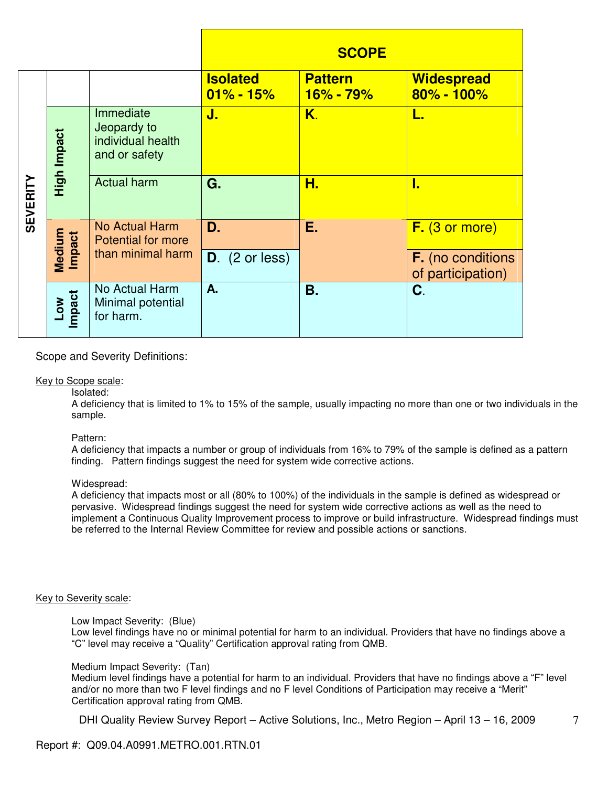|                 |                      |                                                                |                                  | <b>SCOPE</b>                    |                                               |
|-----------------|----------------------|----------------------------------------------------------------|----------------------------------|---------------------------------|-----------------------------------------------|
|                 |                      |                                                                | <b>Isolated</b><br>$01\% - 15\%$ | <b>Pattern</b><br>$16\% - 79\%$ | <b>Widespread</b><br>$80\% - 100\%$           |
|                 | High Impact          | Immediate<br>Jeopardy to<br>individual health<br>and or safety | J.                               | K.                              | L.                                            |
| <b>SEVERITY</b> |                      | <b>Actual harm</b>                                             | G.                               | Н.                              | L                                             |
|                 | Medium<br>Impact     | <b>No Actual Harm</b><br><b>Potential for more</b>             | D.                               | Ε.                              | F. (3 or more)                                |
|                 |                      | than minimal harm                                              | $D.$ (2 or less)                 |                                 | <b>F.</b> (no conditions<br>of participation) |
|                 | Impact<br><b>MOT</b> | No Actual Harm<br>Minimal potential<br>for harm.               | A.                               | <b>B.</b>                       | C.                                            |

## Scope and Severity Definitions:

#### Key to Scope scale:

#### Isolated:

A deficiency that is limited to 1% to 15% of the sample, usually impacting no more than one or two individuals in the sample.

Pattern:

A deficiency that impacts a number or group of individuals from 16% to 79% of the sample is defined as a pattern finding. Pattern findings suggest the need for system wide corrective actions.

#### Widespread:

A deficiency that impacts most or all (80% to 100%) of the individuals in the sample is defined as widespread or pervasive. Widespread findings suggest the need for system wide corrective actions as well as the need to implement a Continuous Quality Improvement process to improve or build infrastructure. Widespread findings must be referred to the Internal Review Committee for review and possible actions or sanctions.

#### Key to Severity scale:

Low Impact Severity: (Blue)

Low level findings have no or minimal potential for harm to an individual. Providers that have no findings above a "C" level may receive a "Quality" Certification approval rating from QMB.

#### Medium Impact Severity: (Tan)

Medium level findings have a potential for harm to an individual. Providers that have no findings above a "F" level and/or no more than two F level findings and no F level Conditions of Participation may receive a "Merit" Certification approval rating from QMB.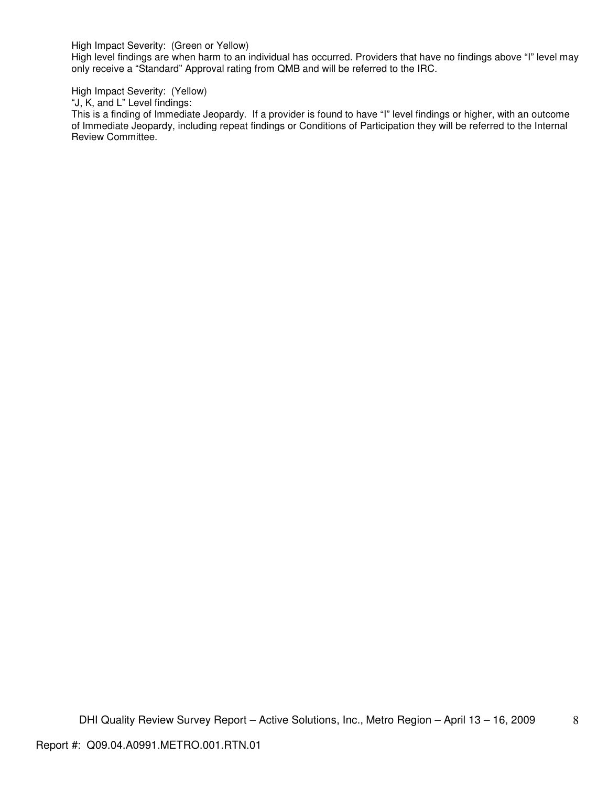High Impact Severity: (Green or Yellow)

High level findings are when harm to an individual has occurred. Providers that have no findings above "I" level may only receive a "Standard" Approval rating from QMB and will be referred to the IRC.

High Impact Severity: (Yellow)

"J, K, and L" Level findings:

This is a finding of Immediate Jeopardy. If a provider is found to have "I" level findings or higher, with an outcome of Immediate Jeopardy, including repeat findings or Conditions of Participation they will be referred to the Internal Review Committee.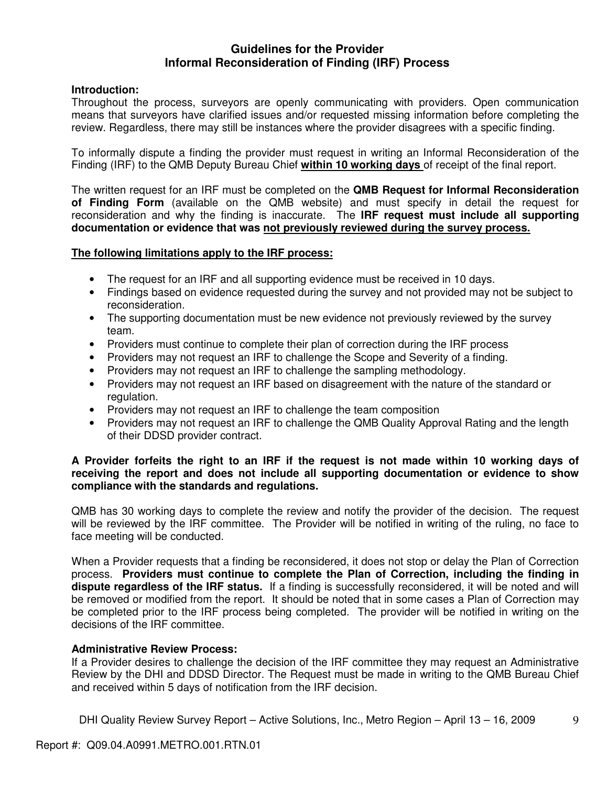# **Guidelines for the Provider Informal Reconsideration of Finding (IRF) Process**

## **Introduction:**

Throughout the process, surveyors are openly communicating with providers. Open communication means that surveyors have clarified issues and/or requested missing information before completing the review. Regardless, there may still be instances where the provider disagrees with a specific finding.

To informally dispute a finding the provider must request in writing an Informal Reconsideration of the Finding (IRF) to the QMB Deputy Bureau Chief **within 10 working days** of receipt of the final report.

The written request for an IRF must be completed on the **QMB Request for Informal Reconsideration of Finding Form** (available on the QMB website) and must specify in detail the request for reconsideration and why the finding is inaccurate. The **IRF request must include all supporting documentation or evidence that was not previously reviewed during the survey process.** 

## **The following limitations apply to the IRF process:**

- The request for an IRF and all supporting evidence must be received in 10 days.
- Findings based on evidence requested during the survey and not provided may not be subject to reconsideration.
- The supporting documentation must be new evidence not previously reviewed by the survey team.
- Providers must continue to complete their plan of correction during the IRF process
- Providers may not request an IRF to challenge the Scope and Severity of a finding.
- Providers may not request an IRF to challenge the sampling methodology.
- Providers may not request an IRF based on disagreement with the nature of the standard or regulation.
- Providers may not request an IRF to challenge the team composition
- Providers may not request an IRF to challenge the QMB Quality Approval Rating and the length of their DDSD provider contract.

## **A Provider forfeits the right to an IRF if the request is not made within 10 working days of receiving the report and does not include all supporting documentation or evidence to show compliance with the standards and regulations.**

QMB has 30 working days to complete the review and notify the provider of the decision. The request will be reviewed by the IRF committee. The Provider will be notified in writing of the ruling, no face to face meeting will be conducted.

When a Provider requests that a finding be reconsidered, it does not stop or delay the Plan of Correction process. **Providers must continue to complete the Plan of Correction, including the finding in dispute regardless of the IRF status.** If a finding is successfully reconsidered, it will be noted and will be removed or modified from the report. It should be noted that in some cases a Plan of Correction may be completed prior to the IRF process being completed. The provider will be notified in writing on the decisions of the IRF committee.

## **Administrative Review Process:**

If a Provider desires to challenge the decision of the IRF committee they may request an Administrative Review by the DHI and DDSD Director. The Request must be made in writing to the QMB Bureau Chief and received within 5 days of notification from the IRF decision.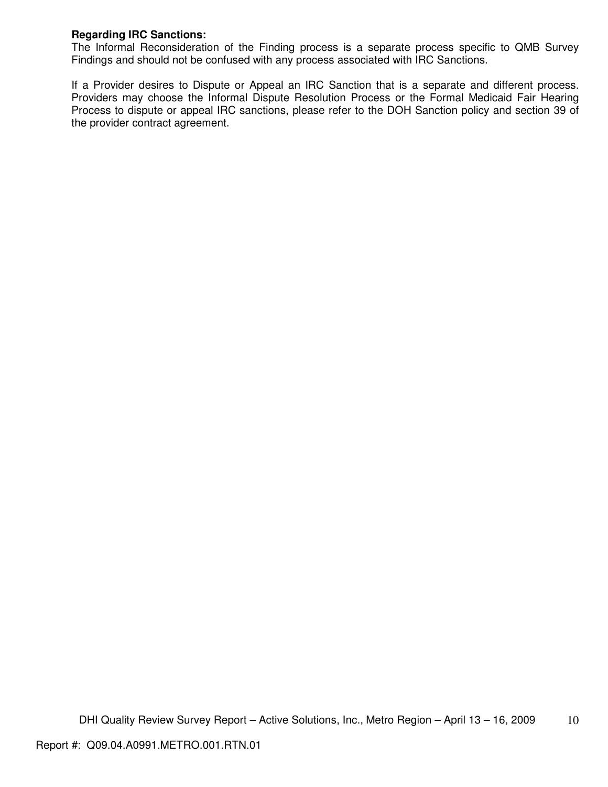## **Regarding IRC Sanctions:**

The Informal Reconsideration of the Finding process is a separate process specific to QMB Survey Findings and should not be confused with any process associated with IRC Sanctions.

If a Provider desires to Dispute or Appeal an IRC Sanction that is a separate and different process. Providers may choose the Informal Dispute Resolution Process or the Formal Medicaid Fair Hearing Process to dispute or appeal IRC sanctions, please refer to the DOH Sanction policy and section 39 of the provider contract agreement.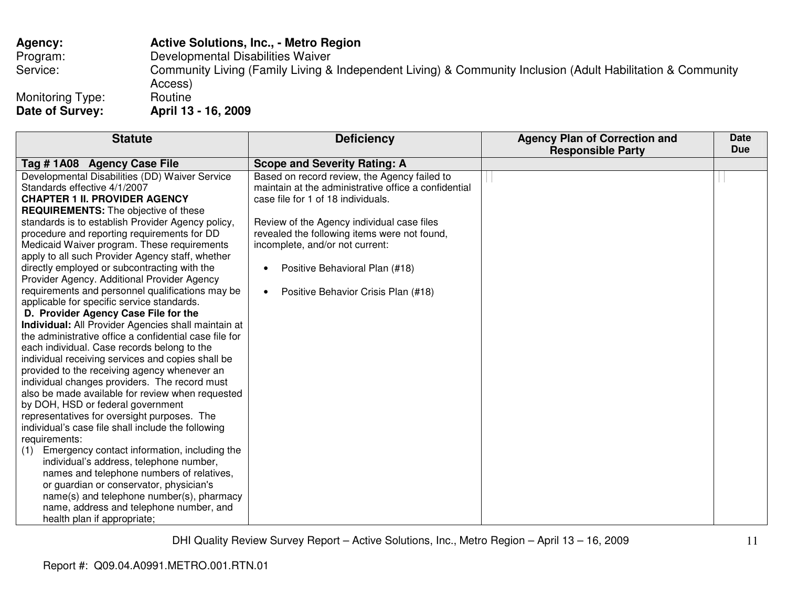| <b>Agency:</b>                      | <b>Active Solutions, Inc., - Metro Region</b>                                                                          |
|-------------------------------------|------------------------------------------------------------------------------------------------------------------------|
| Program:                            | Developmental Disabilities Waiver                                                                                      |
| Service:                            | Community Living (Family Living & Independent Living) & Community Inclusion (Adult Habilitation & Community<br>Access) |
| Monitoring Type:<br>Date of Survey: | Routine<br>April 13 - 16, 2009                                                                                         |

| <b>Statute</b>                                         | <b>Deficiency</b>                                    | <b>Agency Plan of Correction and</b><br><b>Responsible Party</b> | <b>Date</b><br><b>Due</b> |
|--------------------------------------------------------|------------------------------------------------------|------------------------------------------------------------------|---------------------------|
| Tag #1A08 Agency Case File                             | <b>Scope and Severity Rating: A</b>                  |                                                                  |                           |
| Developmental Disabilities (DD) Waiver Service         | Based on record review, the Agency failed to         |                                                                  |                           |
| Standards effective 4/1/2007                           | maintain at the administrative office a confidential |                                                                  |                           |
| <b>CHAPTER 1 II. PROVIDER AGENCY</b>                   | case file for 1 of 18 individuals.                   |                                                                  |                           |
| <b>REQUIREMENTS:</b> The objective of these            |                                                      |                                                                  |                           |
| standards is to establish Provider Agency policy,      | Review of the Agency individual case files           |                                                                  |                           |
| procedure and reporting requirements for DD            | revealed the following items were not found,         |                                                                  |                           |
| Medicaid Waiver program. These requirements            | incomplete, and/or not current:                      |                                                                  |                           |
| apply to all such Provider Agency staff, whether       |                                                      |                                                                  |                           |
| directly employed or subcontracting with the           | Positive Behavioral Plan (#18)<br>$\bullet$          |                                                                  |                           |
| Provider Agency. Additional Provider Agency            |                                                      |                                                                  |                           |
| requirements and personnel qualifications may be       | Positive Behavior Crisis Plan (#18)                  |                                                                  |                           |
| applicable for specific service standards.             |                                                      |                                                                  |                           |
| D. Provider Agency Case File for the                   |                                                      |                                                                  |                           |
| Individual: All Provider Agencies shall maintain at    |                                                      |                                                                  |                           |
| the administrative office a confidential case file for |                                                      |                                                                  |                           |
| each individual. Case records belong to the            |                                                      |                                                                  |                           |
| individual receiving services and copies shall be      |                                                      |                                                                  |                           |
| provided to the receiving agency whenever an           |                                                      |                                                                  |                           |
| individual changes providers. The record must          |                                                      |                                                                  |                           |
| also be made available for review when requested       |                                                      |                                                                  |                           |
| by DOH, HSD or federal government                      |                                                      |                                                                  |                           |
| representatives for oversight purposes. The            |                                                      |                                                                  |                           |
| individual's case file shall include the following     |                                                      |                                                                  |                           |
| requirements:                                          |                                                      |                                                                  |                           |
| Emergency contact information, including the<br>(1)    |                                                      |                                                                  |                           |
| individual's address, telephone number,                |                                                      |                                                                  |                           |
| names and telephone numbers of relatives,              |                                                      |                                                                  |                           |
| or guardian or conservator, physician's                |                                                      |                                                                  |                           |
| name(s) and telephone number(s), pharmacy              |                                                      |                                                                  |                           |
| name, address and telephone number, and                |                                                      |                                                                  |                           |
| health plan if appropriate;                            |                                                      |                                                                  |                           |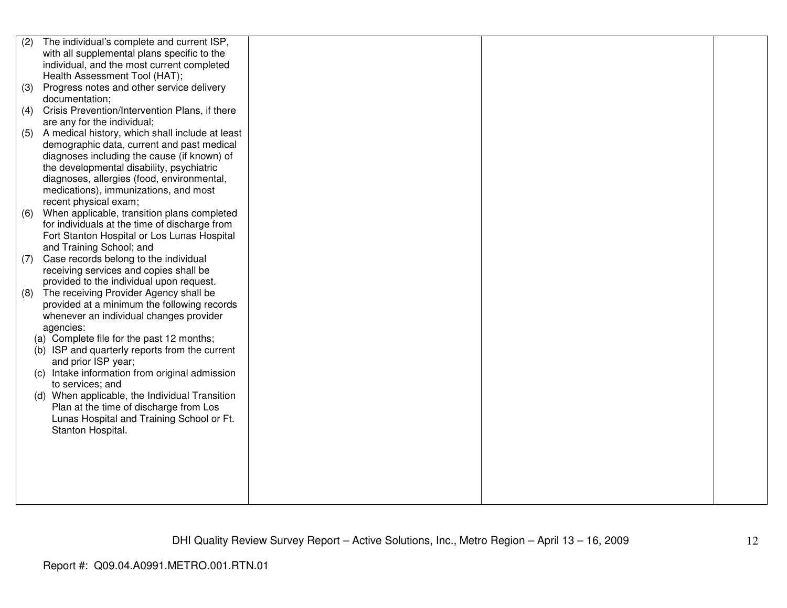| (2) | The individual's complete and current ISP,        |  |  |
|-----|---------------------------------------------------|--|--|
|     | with all supplemental plans specific to the       |  |  |
|     | individual, and the most current completed        |  |  |
|     | Health Assessment Tool (HAT);                     |  |  |
| (3) | Progress notes and other service delivery         |  |  |
|     | documentation;                                    |  |  |
| (4) | Crisis Prevention/Intervention Plans, if there    |  |  |
|     | are any for the individual;                       |  |  |
| (5) | A medical history, which shall include at least   |  |  |
|     | demographic data, current and past medical        |  |  |
|     | diagnoses including the cause (if known) of       |  |  |
|     | the developmental disability, psychiatric         |  |  |
|     | diagnoses, allergies (food, environmental,        |  |  |
|     | medications), immunizations, and most             |  |  |
|     | recent physical exam;                             |  |  |
| (6) | When applicable, transition plans completed       |  |  |
|     | for individuals at the time of discharge from     |  |  |
|     | Fort Stanton Hospital or Los Lunas Hospital       |  |  |
|     | and Training School; and                          |  |  |
| (7) | Case records belong to the individual             |  |  |
|     | receiving services and copies shall be            |  |  |
|     | provided to the individual upon request.          |  |  |
| (8) | The receiving Provider Agency shall be            |  |  |
|     | provided at a minimum the following records       |  |  |
|     | whenever an individual changes provider           |  |  |
|     | agencies:                                         |  |  |
|     | (a) Complete file for the past 12 months;         |  |  |
|     | (b) ISP and quarterly reports from the current    |  |  |
|     | and prior ISP year;                               |  |  |
|     | (c) Intake information from original admission    |  |  |
|     | to services; and                                  |  |  |
|     | When applicable, the Individual Transition<br>(d) |  |  |
|     | Plan at the time of discharge from Los            |  |  |
|     | Lunas Hospital and Training School or Ft.         |  |  |
|     | Stanton Hospital.                                 |  |  |
|     |                                                   |  |  |
|     |                                                   |  |  |
|     |                                                   |  |  |
|     |                                                   |  |  |
|     |                                                   |  |  |
|     |                                                   |  |  |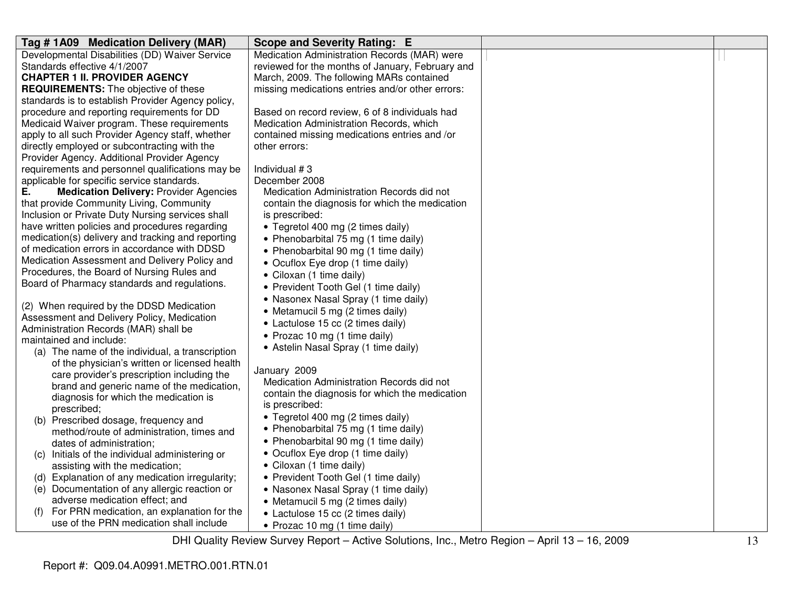| Tag #1A09 Medication Delivery (MAR)                                                            | Scope and Severity Rating: E                     |  |
|------------------------------------------------------------------------------------------------|--------------------------------------------------|--|
| Developmental Disabilities (DD) Waiver Service                                                 | Medication Administration Records (MAR) were     |  |
| Standards effective 4/1/2007                                                                   | reviewed for the months of January, February and |  |
| <b>CHAPTER 1 II. PROVIDER AGENCY</b>                                                           | March, 2009. The following MARs contained        |  |
| <b>REQUIREMENTS:</b> The objective of these                                                    | missing medications entries and/or other errors: |  |
| standards is to establish Provider Agency policy,                                              |                                                  |  |
| procedure and reporting requirements for DD                                                    | Based on record review, 6 of 8 individuals had   |  |
| Medicaid Waiver program. These requirements                                                    | Medication Administration Records, which         |  |
| apply to all such Provider Agency staff, whether                                               | contained missing medications entries and /or    |  |
| directly employed or subcontracting with the                                                   | other errors:                                    |  |
| Provider Agency. Additional Provider Agency                                                    | Individual #3                                    |  |
| requirements and personnel qualifications may be<br>applicable for specific service standards. | December 2008                                    |  |
| <b>Medication Delivery: Provider Agencies</b><br>Е.                                            | Medication Administration Records did not        |  |
| that provide Community Living, Community                                                       | contain the diagnosis for which the medication   |  |
| Inclusion or Private Duty Nursing services shall                                               | is prescribed:                                   |  |
| have written policies and procedures regarding                                                 | • Tegretol 400 mg (2 times daily)                |  |
| medication(s) delivery and tracking and reporting                                              | • Phenobarbital 75 mg (1 time daily)             |  |
| of medication errors in accordance with DDSD                                                   | • Phenobarbital 90 mg (1 time daily)             |  |
| Medication Assessment and Delivery Policy and                                                  | • Ocuflox Eye drop (1 time daily)                |  |
| Procedures, the Board of Nursing Rules and                                                     | • Ciloxan (1 time daily)                         |  |
| Board of Pharmacy standards and regulations.                                                   | • Prevident Tooth Gel (1 time daily)             |  |
|                                                                                                | • Nasonex Nasal Spray (1 time daily)             |  |
| (2) When required by the DDSD Medication                                                       | • Metamucil 5 mg (2 times daily)                 |  |
| Assessment and Delivery Policy, Medication                                                     | • Lactulose 15 cc (2 times daily)                |  |
| Administration Records (MAR) shall be                                                          | • Prozac 10 mg (1 time daily)                    |  |
| maintained and include:                                                                        | • Astelin Nasal Spray (1 time daily)             |  |
| (a) The name of the individual, a transcription                                                |                                                  |  |
| of the physician's written or licensed health                                                  | January 2009                                     |  |
| care provider's prescription including the                                                     | Medication Administration Records did not        |  |
| brand and generic name of the medication,                                                      | contain the diagnosis for which the medication   |  |
| diagnosis for which the medication is                                                          | is prescribed:                                   |  |
| prescribed;                                                                                    | • Tegretol 400 mg (2 times daily)                |  |
| (b) Prescribed dosage, frequency and<br>method/route of administration, times and              | • Phenobarbital 75 mg (1 time daily)             |  |
| dates of administration;                                                                       | • Phenobarbital 90 mg (1 time daily)             |  |
| Initials of the individual administering or<br>(C)                                             | • Ocuflox Eye drop (1 time daily)                |  |
| assisting with the medication;                                                                 | • Ciloxan (1 time daily)                         |  |
| (d) Explanation of any medication irregularity;                                                | • Prevident Tooth Gel (1 time daily)             |  |
| (e) Documentation of any allergic reaction or                                                  | • Nasonex Nasal Spray (1 time daily)             |  |
| adverse medication effect; and                                                                 | • Metamucil 5 mg (2 times daily)                 |  |
| For PRN medication, an explanation for the<br>(f)                                              | • Lactulose 15 cc (2 times daily)                |  |
| use of the PRN medication shall include                                                        | • Prozac 10 mg (1 time daily)                    |  |
|                                                                                                |                                                  |  |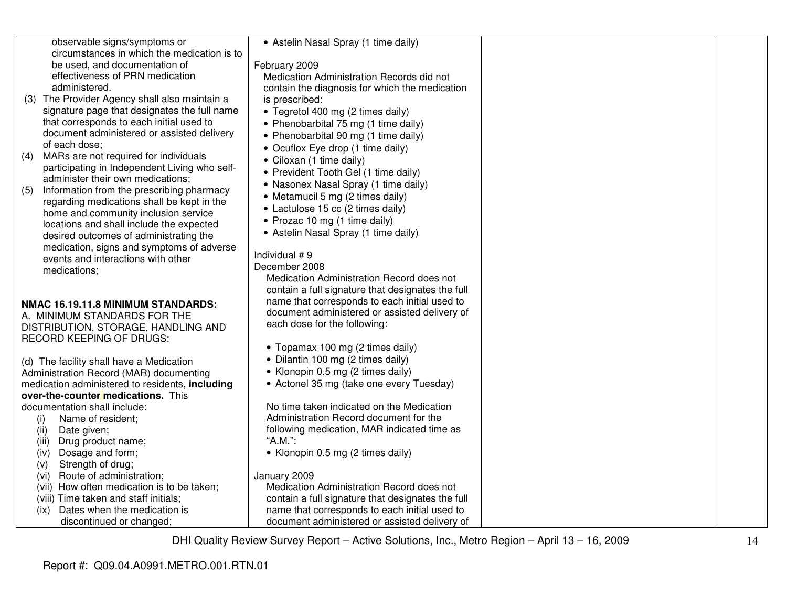| observable signs/symptoms or                     | • Astelin Nasal Spray (1 time daily)              |  |
|--------------------------------------------------|---------------------------------------------------|--|
| circumstances in which the medication is to      |                                                   |  |
| be used, and documentation of                    | February 2009                                     |  |
| effectiveness of PRN medication                  | Medication Administration Records did not         |  |
| administered.                                    | contain the diagnosis for which the medication    |  |
| (3) The Provider Agency shall also maintain a    | is prescribed:                                    |  |
| signature page that designates the full name     | • Tegretol 400 mg (2 times daily)                 |  |
| that corresponds to each initial used to         | • Phenobarbital 75 mg (1 time daily)              |  |
| document administered or assisted delivery       | • Phenobarbital 90 mg (1 time daily)              |  |
| of each dose;                                    | • Ocuflox Eye drop (1 time daily)                 |  |
| MARs are not required for individuals<br>(4)     | • Ciloxan (1 time daily)                          |  |
| participating in Independent Living who self-    | • Prevident Tooth Gel (1 time daily)              |  |
| administer their own medications;                |                                                   |  |
| Information from the prescribing pharmacy<br>(5) | • Nasonex Nasal Spray (1 time daily)              |  |
| regarding medications shall be kept in the       | • Metamucil 5 mg (2 times daily)                  |  |
| home and community inclusion service             | • Lactulose 15 cc (2 times daily)                 |  |
| locations and shall include the expected         | • Prozac 10 mg (1 time daily)                     |  |
| desired outcomes of administrating the           | • Astelin Nasal Spray (1 time daily)              |  |
| medication, signs and symptoms of adverse        |                                                   |  |
| events and interactions with other               | Individual #9                                     |  |
| medications;                                     | December 2008                                     |  |
|                                                  | Medication Administration Record does not         |  |
|                                                  | contain a full signature that designates the full |  |
| NMAC 16.19.11.8 MINIMUM STANDARDS:               | name that corresponds to each initial used to     |  |
| A. MINIMUM STANDARDS FOR THE                     | document administered or assisted delivery of     |  |
| DISTRIBUTION, STORAGE, HANDLING AND              | each dose for the following:                      |  |
| <b>RECORD KEEPING OF DRUGS:</b>                  |                                                   |  |
|                                                  | • Topamax 100 mg (2 times daily)                  |  |
| (d) The facility shall have a Medication         | • Dilantin 100 mg (2 times daily)                 |  |
| Administration Record (MAR) documenting          | • Klonopin 0.5 mg (2 times daily)                 |  |
| medication administered to residents, including  | • Actonel 35 mg (take one every Tuesday)          |  |
| over-the-counter medications. This               |                                                   |  |
| documentation shall include:                     | No time taken indicated on the Medication         |  |
| Name of resident;<br>(i)                         | Administration Record document for the            |  |
| (ii)<br>Date given;                              | following medication, MAR indicated time as       |  |
| (iii)<br>Drug product name;                      | "A.M.":                                           |  |
| Dosage and form;<br>(iv)                         | • Klonopin 0.5 mg (2 times daily)                 |  |
| Strength of drug;<br>(v)                         |                                                   |  |
| Route of administration;<br>(vi)                 | January 2009                                      |  |
| (vii) How often medication is to be taken;       | Medication Administration Record does not         |  |
| (viii) Time taken and staff initials;            | contain a full signature that designates the full |  |
| Dates when the medication is<br>(ix)             | name that corresponds to each initial used to     |  |
| discontinued or changed;                         | document administered or assisted delivery of     |  |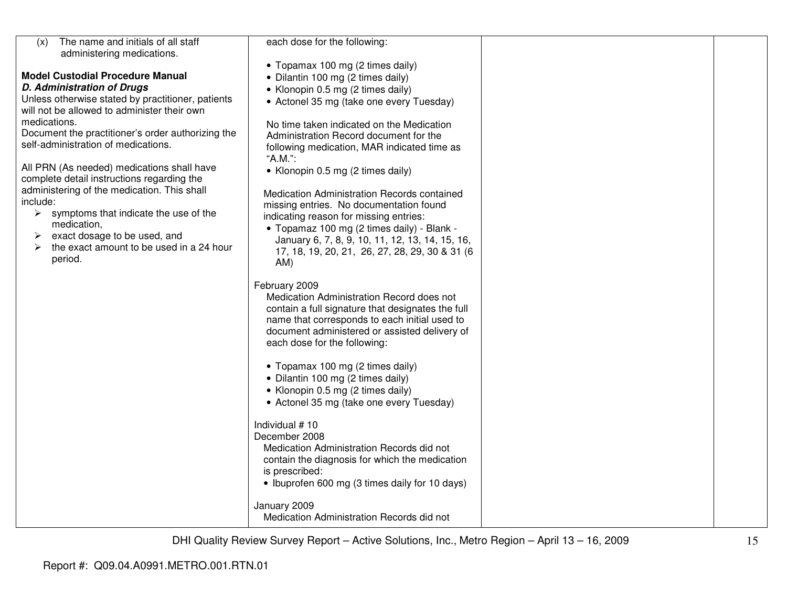| The name and initials of all staff<br>(x)<br>administering medications.       | each dose for the following:                                                                                                                                                                                                                                                                                                                                                                                                                                                                                                                                                                                                      |
|-------------------------------------------------------------------------------|-----------------------------------------------------------------------------------------------------------------------------------------------------------------------------------------------------------------------------------------------------------------------------------------------------------------------------------------------------------------------------------------------------------------------------------------------------------------------------------------------------------------------------------------------------------------------------------------------------------------------------------|
|                                                                               |                                                                                                                                                                                                                                                                                                                                                                                                                                                                                                                                                                                                                                   |
|                                                                               | • Topamax 100 mg (2 times daily)                                                                                                                                                                                                                                                                                                                                                                                                                                                                                                                                                                                                  |
| <b>Model Custodial Procedure Manual</b>                                       | • Dilantin 100 mg (2 times daily)                                                                                                                                                                                                                                                                                                                                                                                                                                                                                                                                                                                                 |
| <b>D. Administration of Drugs</b>                                             | • Klonopin 0.5 mg (2 times daily)                                                                                                                                                                                                                                                                                                                                                                                                                                                                                                                                                                                                 |
| Unless otherwise stated by practitioner, patients                             | • Actonel 35 mg (take one every Tuesday)                                                                                                                                                                                                                                                                                                                                                                                                                                                                                                                                                                                          |
| will not be allowed to administer their own                                   |                                                                                                                                                                                                                                                                                                                                                                                                                                                                                                                                                                                                                                   |
| medications.                                                                  | No time taken indicated on the Medication                                                                                                                                                                                                                                                                                                                                                                                                                                                                                                                                                                                         |
| Document the practitioner's order authorizing the                             | Administration Record document for the                                                                                                                                                                                                                                                                                                                                                                                                                                                                                                                                                                                            |
| self-administration of medications.                                           | following medication, MAR indicated time as                                                                                                                                                                                                                                                                                                                                                                                                                                                                                                                                                                                       |
|                                                                               | "A.M.":                                                                                                                                                                                                                                                                                                                                                                                                                                                                                                                                                                                                                           |
| All PRN (As needed) medications shall have                                    | • Klonopin 0.5 mg (2 times daily)                                                                                                                                                                                                                                                                                                                                                                                                                                                                                                                                                                                                 |
| complete detail instructions regarding the                                    |                                                                                                                                                                                                                                                                                                                                                                                                                                                                                                                                                                                                                                   |
| administering of the medication. This shall                                   | Medication Administration Records contained                                                                                                                                                                                                                                                                                                                                                                                                                                                                                                                                                                                       |
| include:                                                                      | missing entries. No documentation found                                                                                                                                                                                                                                                                                                                                                                                                                                                                                                                                                                                           |
| $\triangleright$ symptoms that indicate the use of the                        | indicating reason for missing entries:                                                                                                                                                                                                                                                                                                                                                                                                                                                                                                                                                                                            |
| medication,                                                                   | • Topamaz 100 mg (2 times daily) - Blank -                                                                                                                                                                                                                                                                                                                                                                                                                                                                                                                                                                                        |
| exact dosage to be used, and<br>➤<br>the exact amount to be used in a 24 hour | January 6, 7, 8, 9, 10, 11, 12, 13, 14, 15, 16,                                                                                                                                                                                                                                                                                                                                                                                                                                                                                                                                                                                   |
| ➤<br>period.                                                                  | 17, 18, 19, 20, 21, 26, 27, 28, 29, 30 & 31 (6)                                                                                                                                                                                                                                                                                                                                                                                                                                                                                                                                                                                   |
|                                                                               | AM)                                                                                                                                                                                                                                                                                                                                                                                                                                                                                                                                                                                                                               |
|                                                                               | February 2009<br>Medication Administration Record does not<br>contain a full signature that designates the full<br>name that corresponds to each initial used to<br>document administered or assisted delivery of<br>each dose for the following:<br>• Topamax 100 mg (2 times daily)<br>• Dilantin 100 mg (2 times daily)<br>• Klonopin 0.5 mg (2 times daily)<br>• Actonel 35 mg (take one every Tuesday)<br>Individual #10<br>December 2008<br>Medication Administration Records did not<br>contain the diagnosis for which the medication<br>is prescribed:<br>• Ibuprofen 600 mg (3 times daily for 10 days)<br>January 2009 |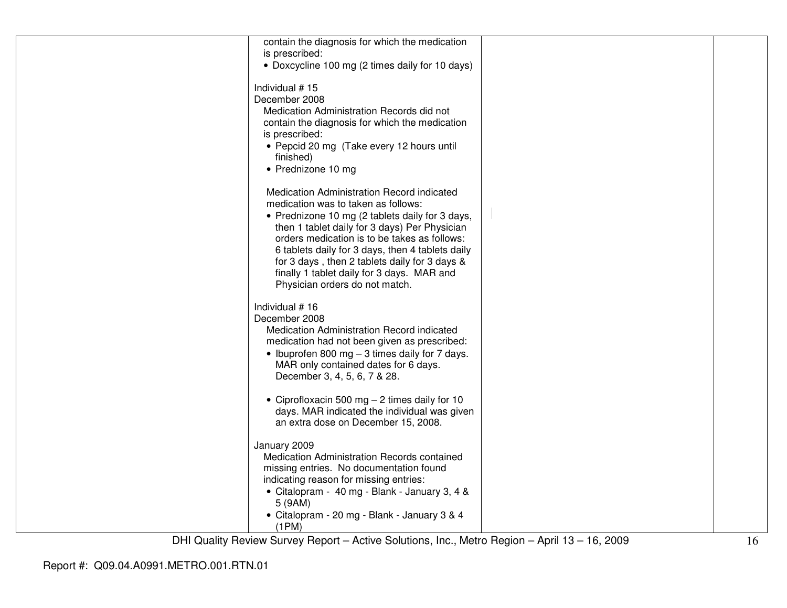| contain the diagnosis for which the medication              |  |
|-------------------------------------------------------------|--|
| is prescribed:                                              |  |
| • Doxcycline 100 mg (2 times daily for 10 days)             |  |
|                                                             |  |
| Individual #15                                              |  |
| December 2008<br>Medication Administration Records did not  |  |
| contain the diagnosis for which the medication              |  |
| is prescribed:                                              |  |
| • Pepcid 20 mg (Take every 12 hours until                   |  |
| finished)                                                   |  |
| • Prednizone 10 mg                                          |  |
|                                                             |  |
| Medication Administration Record indicated                  |  |
| medication was to taken as follows:                         |  |
| • Prednizone 10 mg (2 tablets daily for 3 days,             |  |
| then 1 tablet daily for 3 days) Per Physician               |  |
| orders medication is to be takes as follows:                |  |
| 6 tablets daily for 3 days, then 4 tablets daily            |  |
| for 3 days, then 2 tablets daily for 3 days &               |  |
| finally 1 tablet daily for 3 days. MAR and                  |  |
| Physician orders do not match.                              |  |
| Individual #16                                              |  |
| December 2008                                               |  |
| Medication Administration Record indicated                  |  |
| medication had not been given as prescribed:                |  |
| • Ibuprofen 800 mg $-$ 3 times daily for 7 days.            |  |
| MAR only contained dates for 6 days.                        |  |
| December 3, 4, 5, 6, 7 & 28.                                |  |
|                                                             |  |
| • Ciprofloxacin 500 mg $-$ 2 times daily for 10             |  |
| days. MAR indicated the individual was given                |  |
| an extra dose on December 15, 2008.                         |  |
|                                                             |  |
| January 2009<br>Medication Administration Records contained |  |
| missing entries. No documentation found                     |  |
| indicating reason for missing entries:                      |  |
| • Citalopram - 40 mg - Blank - January 3, 4 &               |  |
| 5 (9AM)                                                     |  |
| • Citalopram - 20 mg - Blank - January 3 & 4                |  |
| (1PM)                                                       |  |
|                                                             |  |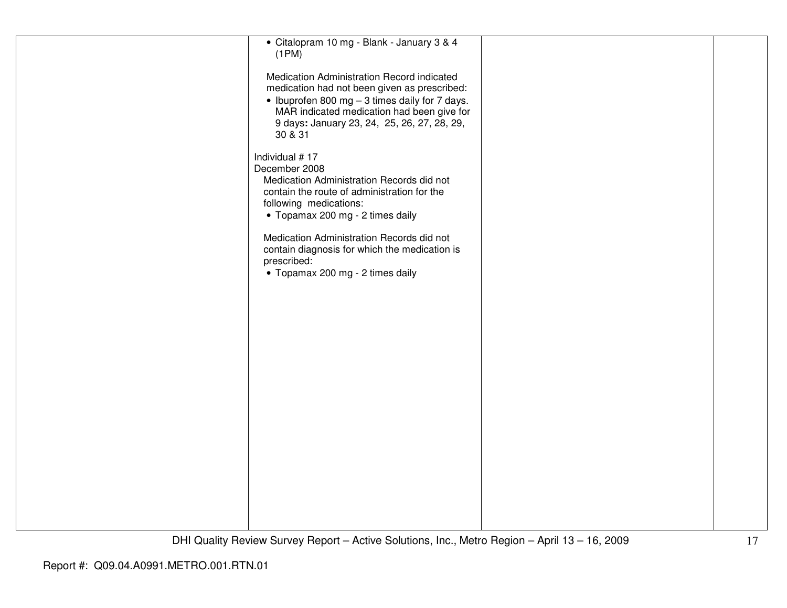| · Citalopram 10 mg - Blank - January 3 & 4<br>(1PM)                                                                                                                                                                                                  |  |
|------------------------------------------------------------------------------------------------------------------------------------------------------------------------------------------------------------------------------------------------------|--|
| Medication Administration Record indicated<br>medication had not been given as prescribed:<br>• Ibuprofen 800 mg - 3 times daily for 7 days.<br>MAR indicated medication had been give for<br>9 days: January 23, 24, 25, 26, 27, 28, 29,<br>30 & 31 |  |
| Individual #17<br>December 2008<br>Medication Administration Records did not<br>contain the route of administration for the<br>following medications:<br>• Topamax 200 mg - 2 times daily                                                            |  |
| Medication Administration Records did not<br>contain diagnosis for which the medication is<br>prescribed:<br>• Topamax 200 mg - 2 times daily                                                                                                        |  |
|                                                                                                                                                                                                                                                      |  |
|                                                                                                                                                                                                                                                      |  |
|                                                                                                                                                                                                                                                      |  |
|                                                                                                                                                                                                                                                      |  |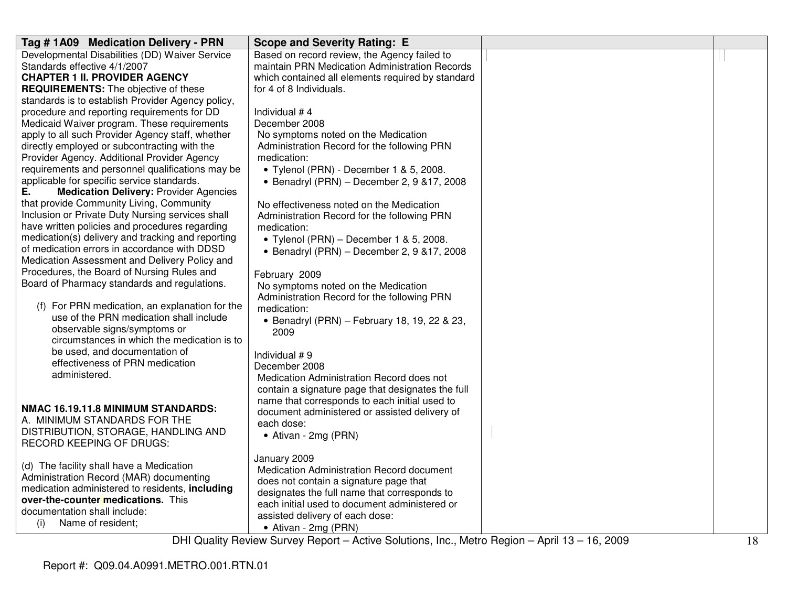| Tag #1A09 Medication Delivery - PRN                                                       | <b>Scope and Severity Rating: E</b>                                                |  |
|-------------------------------------------------------------------------------------------|------------------------------------------------------------------------------------|--|
| Developmental Disabilities (DD) Waiver Service                                            | Based on record review, the Agency failed to                                       |  |
| Standards effective 4/1/2007                                                              | maintain PRN Medication Administration Records                                     |  |
| <b>CHAPTER 1 II. PROVIDER AGENCY</b>                                                      | which contained all elements required by standard                                  |  |
| <b>REQUIREMENTS:</b> The objective of these                                               | for 4 of 8 Individuals.                                                            |  |
| standards is to establish Provider Agency policy,                                         |                                                                                    |  |
| procedure and reporting requirements for DD                                               | Individual #4                                                                      |  |
| Medicaid Waiver program. These requirements                                               | December 2008                                                                      |  |
| apply to all such Provider Agency staff, whether                                          | No symptoms noted on the Medication                                                |  |
| directly employed or subcontracting with the                                              | Administration Record for the following PRN                                        |  |
| Provider Agency. Additional Provider Agency                                               | medication:                                                                        |  |
| requirements and personnel qualifications may be                                          | • Tylenol (PRN) - December 1 & 5, 2008.                                            |  |
| applicable for specific service standards.<br>Е.                                          | • Benadryl (PRN) - December 2, 9 & 17, 2008                                        |  |
| <b>Medication Delivery: Provider Agencies</b><br>that provide Community Living, Community |                                                                                    |  |
| Inclusion or Private Duty Nursing services shall                                          | No effectiveness noted on the Medication                                           |  |
| have written policies and procedures regarding                                            | Administration Record for the following PRN                                        |  |
| medication(s) delivery and tracking and reporting                                         | medication:                                                                        |  |
| of medication errors in accordance with DDSD                                              | • Tylenol (PRN) – December 1 & 5, 2008.                                            |  |
| Medication Assessment and Delivery Policy and                                             | • Benadryl (PRN) - December 2, 9 & 17, 2008                                        |  |
| Procedures, the Board of Nursing Rules and                                                |                                                                                    |  |
| Board of Pharmacy standards and regulations.                                              | February 2009                                                                      |  |
|                                                                                           | No symptoms noted on the Medication<br>Administration Record for the following PRN |  |
| (f) For PRN medication, an explanation for the                                            | medication:                                                                        |  |
| use of the PRN medication shall include                                                   | • Benadryl (PRN) - February 18, 19, 22 & 23,                                       |  |
| observable signs/symptoms or                                                              | 2009                                                                               |  |
| circumstances in which the medication is to                                               |                                                                                    |  |
| be used, and documentation of                                                             | Individual #9                                                                      |  |
| effectiveness of PRN medication                                                           | December 2008                                                                      |  |
| administered.                                                                             | Medication Administration Record does not                                          |  |
|                                                                                           | contain a signature page that designates the full                                  |  |
|                                                                                           | name that corresponds to each initial used to                                      |  |
| NMAC 16.19.11.8 MINIMUM STANDARDS:                                                        | document administered or assisted delivery of                                      |  |
| A. MINIMUM STANDARDS FOR THE                                                              | each dose:                                                                         |  |
| DISTRIBUTION, STORAGE, HANDLING AND                                                       | • Ativan - 2mg (PRN)                                                               |  |
| RECORD KEEPING OF DRUGS:                                                                  |                                                                                    |  |
|                                                                                           | January 2009                                                                       |  |
| (d) The facility shall have a Medication                                                  | Medication Administration Record document                                          |  |
| Administration Record (MAR) documenting                                                   | does not contain a signature page that                                             |  |
| medication administered to residents, including                                           | designates the full name that corresponds to                                       |  |
| over-the-counter medications. This                                                        | each initial used to document administered or                                      |  |
| documentation shall include:                                                              | assisted delivery of each dose:                                                    |  |
| Name of resident;<br>(i)                                                                  | • Ativan - 2mg (PRN)                                                               |  |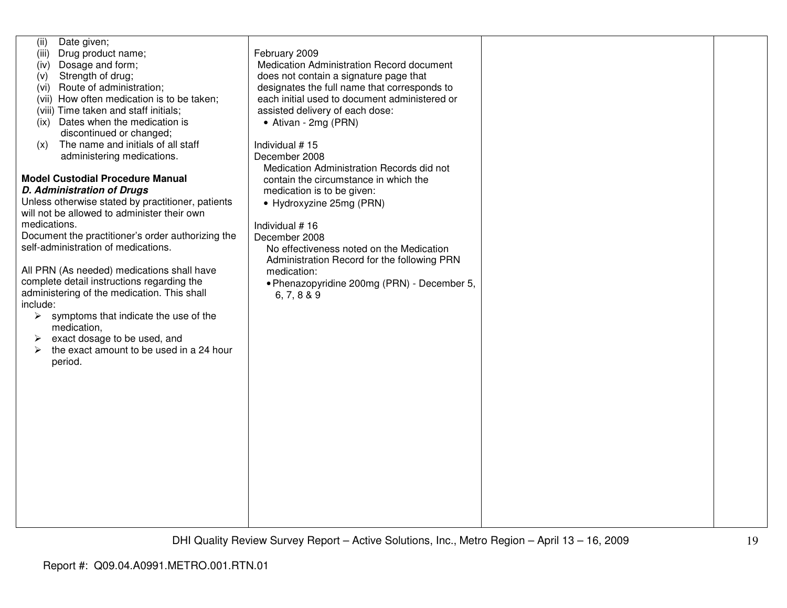| Date given;<br>(ii)<br>Drug product name;<br>(iii)<br>Dosage and form;<br>(iv)<br>Strength of drug;<br>(V)<br>Route of administration;<br>(vi)<br>(vii) How often medication is to be taken;<br>(viii) Time taken and staff initials;<br>Dates when the medication is<br>(ix)<br>discontinued or changed;<br>The name and initials of all staff<br>(x)<br>administering medications.<br><b>Model Custodial Procedure Manual</b><br><b>D. Administration of Drugs</b><br>Unless otherwise stated by practitioner, patients<br>will not be allowed to administer their own<br>medications.<br>Document the practitioner's order authorizing the<br>self-administration of medications.<br>All PRN (As needed) medications shall have<br>complete detail instructions regarding the<br>administering of the medication. This shall<br>include:<br>symptoms that indicate the use of the<br>$\blacktriangleright$<br>medication,<br>exact dosage to be used, and<br>the exact amount to be used in a 24 hour<br>$\blacktriangleright$<br>period. | February 2009<br>Medication Administration Record document<br>does not contain a signature page that<br>designates the full name that corresponds to<br>each initial used to document administered or<br>assisted delivery of each dose:<br>• Ativan - 2mg (PRN)<br>Individual #15<br>December 2008<br>Medication Administration Records did not<br>contain the circumstance in which the<br>medication is to be given:<br>• Hydroxyzine 25mg (PRN)<br>Individual #16<br>December 2008<br>No effectiveness noted on the Medication<br>Administration Record for the following PRN<br>medication:<br>• Phenazopyridine 200mg (PRN) - December 5,<br>6, 7, 8 & 9 |  |
|----------------------------------------------------------------------------------------------------------------------------------------------------------------------------------------------------------------------------------------------------------------------------------------------------------------------------------------------------------------------------------------------------------------------------------------------------------------------------------------------------------------------------------------------------------------------------------------------------------------------------------------------------------------------------------------------------------------------------------------------------------------------------------------------------------------------------------------------------------------------------------------------------------------------------------------------------------------------------------------------------------------------------------------------|----------------------------------------------------------------------------------------------------------------------------------------------------------------------------------------------------------------------------------------------------------------------------------------------------------------------------------------------------------------------------------------------------------------------------------------------------------------------------------------------------------------------------------------------------------------------------------------------------------------------------------------------------------------|--|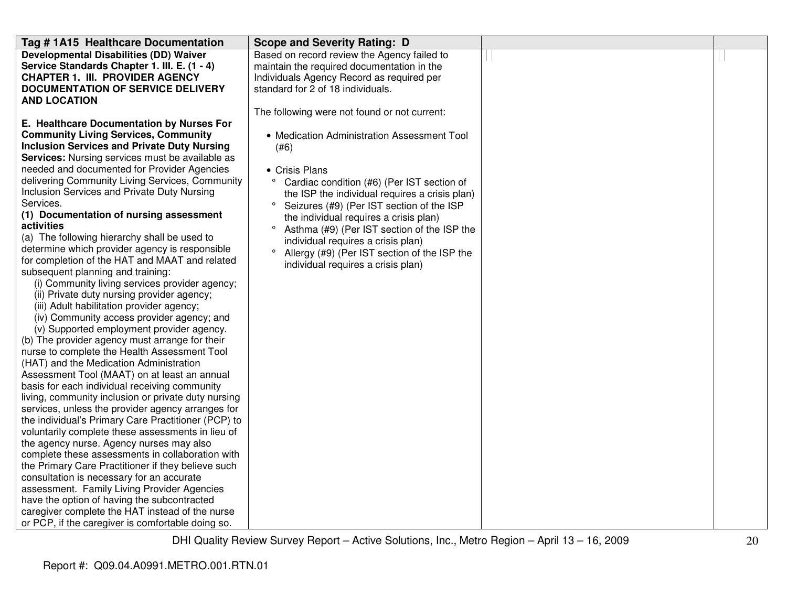| Tag # 1A15 Healthcare Documentation                                                            | <b>Scope and Severity Rating: D</b>                     |  |
|------------------------------------------------------------------------------------------------|---------------------------------------------------------|--|
| <b>Developmental Disabilities (DD) Waiver</b>                                                  | Based on record review the Agency failed to             |  |
| Service Standards Chapter 1. III. E. (1 - 4)                                                   | maintain the required documentation in the              |  |
| <b>CHAPTER 1. III. PROVIDER AGENCY</b>                                                         | Individuals Agency Record as required per               |  |
| <b>DOCUMENTATION OF SERVICE DELIVERY</b>                                                       | standard for 2 of 18 individuals.                       |  |
| <b>AND LOCATION</b>                                                                            |                                                         |  |
|                                                                                                | The following were not found or not current:            |  |
| E. Healthcare Documentation by Nurses For                                                      |                                                         |  |
| <b>Community Living Services, Community</b>                                                    | • Medication Administration Assessment Tool             |  |
| <b>Inclusion Services and Private Duty Nursing</b>                                             | (#6)                                                    |  |
| <b>Services:</b> Nursing services must be available as                                         |                                                         |  |
| needed and documented for Provider Agencies                                                    | • Crisis Plans                                          |  |
| delivering Community Living Services, Community                                                | $\circ$<br>Cardiac condition (#6) (Per IST section of   |  |
| Inclusion Services and Private Duty Nursing                                                    | the ISP the individual requires a crisis plan)          |  |
| Services.                                                                                      | $\circ$<br>Seizures (#9) (Per IST section of the ISP    |  |
| (1) Documentation of nursing assessment                                                        | the individual requires a crisis plan)                  |  |
| activities                                                                                     | $\circ$<br>Asthma (#9) (Per IST section of the ISP the  |  |
| (a) The following hierarchy shall be used to                                                   | individual requires a crisis plan)                      |  |
| determine which provider agency is responsible                                                 | $\circ$<br>Allergy (#9) (Per IST section of the ISP the |  |
| for completion of the HAT and MAAT and related                                                 | individual requires a crisis plan)                      |  |
| subsequent planning and training:                                                              |                                                         |  |
| (i) Community living services provider agency;                                                 |                                                         |  |
| (ii) Private duty nursing provider agency;                                                     |                                                         |  |
| (iii) Adult habilitation provider agency;                                                      |                                                         |  |
| (iv) Community access provider agency; and                                                     |                                                         |  |
| (v) Supported employment provider agency.                                                      |                                                         |  |
| (b) The provider agency must arrange for their<br>nurse to complete the Health Assessment Tool |                                                         |  |
| (HAT) and the Medication Administration                                                        |                                                         |  |
| Assessment Tool (MAAT) on at least an annual                                                   |                                                         |  |
| basis for each individual receiving community                                                  |                                                         |  |
| living, community inclusion or private duty nursing                                            |                                                         |  |
| services, unless the provider agency arranges for                                              |                                                         |  |
| the individual's Primary Care Practitioner (PCP) to                                            |                                                         |  |
| voluntarily complete these assessments in lieu of                                              |                                                         |  |
| the agency nurse. Agency nurses may also                                                       |                                                         |  |
| complete these assessments in collaboration with                                               |                                                         |  |
| the Primary Care Practitioner if they believe such                                             |                                                         |  |
| consultation is necessary for an accurate                                                      |                                                         |  |
| assessment. Family Living Provider Agencies                                                    |                                                         |  |
| have the option of having the subcontracted                                                    |                                                         |  |
| caregiver complete the HAT instead of the nurse                                                |                                                         |  |
| or PCP, if the caregiver is comfortable doing so.                                              |                                                         |  |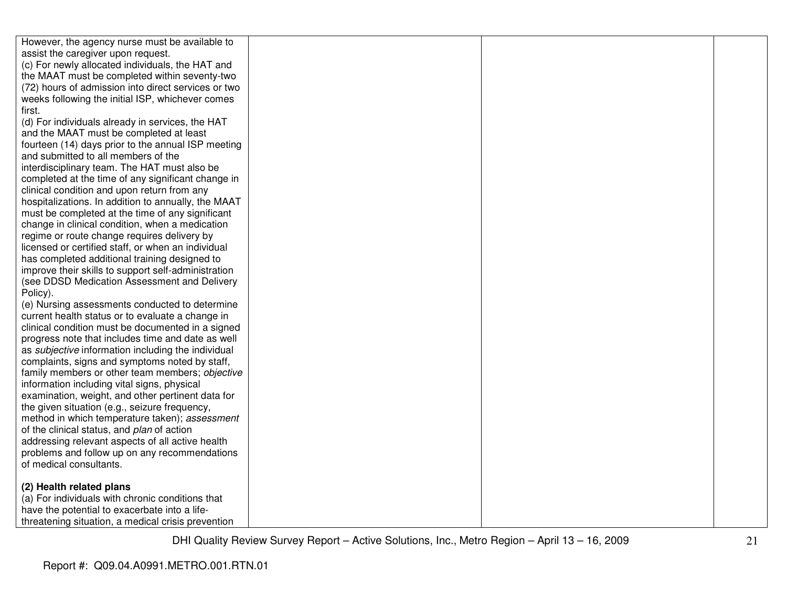| However, the agency nurse must be available to                                                   |  |  |
|--------------------------------------------------------------------------------------------------|--|--|
| assist the caregiver upon request.                                                               |  |  |
| (c) For newly allocated individuals, the HAT and                                                 |  |  |
| the MAAT must be completed within seventy-two                                                    |  |  |
| (72) hours of admission into direct services or two                                              |  |  |
| weeks following the initial ISP, whichever comes                                                 |  |  |
| first.                                                                                           |  |  |
| (d) For individuals already in services, the HAT                                                 |  |  |
| and the MAAT must be completed at least                                                          |  |  |
| fourteen (14) days prior to the annual ISP meeting                                               |  |  |
| and submitted to all members of the                                                              |  |  |
| interdisciplinary team. The HAT must also be                                                     |  |  |
| completed at the time of any significant change in                                               |  |  |
| clinical condition and upon return from any                                                      |  |  |
| hospitalizations. In addition to annually, the MAAT                                              |  |  |
| must be completed at the time of any significant                                                 |  |  |
| change in clinical condition, when a medication                                                  |  |  |
| regime or route change requires delivery by                                                      |  |  |
| licensed or certified staff, or when an individual                                               |  |  |
| has completed additional training designed to                                                    |  |  |
| improve their skills to support self-administration                                              |  |  |
| (see DDSD Medication Assessment and Delivery                                                     |  |  |
| Policy).                                                                                         |  |  |
| (e) Nursing assessments conducted to determine                                                   |  |  |
| current health status or to evaluate a change in                                                 |  |  |
| clinical condition must be documented in a signed                                                |  |  |
| progress note that includes time and date as well                                                |  |  |
| as subjective information including the individual                                               |  |  |
| complaints, signs and symptoms noted by staff,                                                   |  |  |
| family members or other team members; objective                                                  |  |  |
| information including vital signs, physical<br>examination, weight, and other pertinent data for |  |  |
| the given situation (e.g., seizure frequency,                                                    |  |  |
| method in which temperature taken); assessment                                                   |  |  |
| of the clinical status, and plan of action                                                       |  |  |
| addressing relevant aspects of all active health                                                 |  |  |
| problems and follow up on any recommendations                                                    |  |  |
| of medical consultants.                                                                          |  |  |
|                                                                                                  |  |  |
| (2) Health related plans                                                                         |  |  |
| (a) For individuals with chronic conditions that                                                 |  |  |
| have the potential to exacerbate into a life-                                                    |  |  |
| threatening situation, a medical crisis prevention                                               |  |  |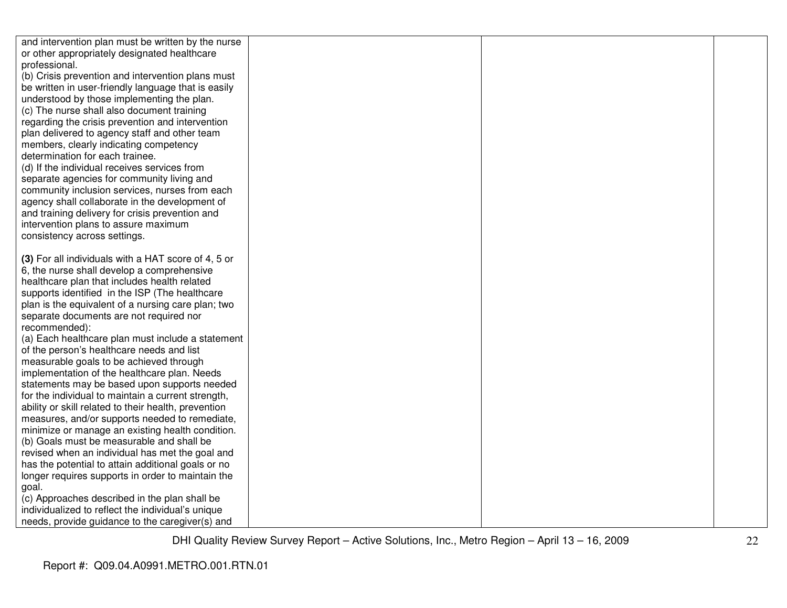| and intervention plan must be written by the nurse   |  |  |
|------------------------------------------------------|--|--|
| or other appropriately designated healthcare         |  |  |
| professional.                                        |  |  |
| (b) Crisis prevention and intervention plans must    |  |  |
| be written in user-friendly language that is easily  |  |  |
| understood by those implementing the plan.           |  |  |
| (c) The nurse shall also document training           |  |  |
| regarding the crisis prevention and intervention     |  |  |
| plan delivered to agency staff and other team        |  |  |
| members, clearly indicating competency               |  |  |
| determination for each trainee.                      |  |  |
| (d) If the individual receives services from         |  |  |
| separate agencies for community living and           |  |  |
| community inclusion services, nurses from each       |  |  |
| agency shall collaborate in the development of       |  |  |
| and training delivery for crisis prevention and      |  |  |
| intervention plans to assure maximum                 |  |  |
| consistency across settings.                         |  |  |
|                                                      |  |  |
| (3) For all individuals with a HAT score of 4, 5 or  |  |  |
| 6, the nurse shall develop a comprehensive           |  |  |
| healthcare plan that includes health related         |  |  |
| supports identified in the ISP (The healthcare       |  |  |
| plan is the equivalent of a nursing care plan; two   |  |  |
| separate documents are not required nor              |  |  |
| recommended):                                        |  |  |
| (a) Each healthcare plan must include a statement    |  |  |
| of the person's healthcare needs and list            |  |  |
| measurable goals to be achieved through              |  |  |
| implementation of the healthcare plan. Needs         |  |  |
| statements may be based upon supports needed         |  |  |
| for the individual to maintain a current strength,   |  |  |
| ability or skill related to their health, prevention |  |  |
| measures, and/or supports needed to remediate,       |  |  |
| minimize or manage an existing health condition.     |  |  |
| (b) Goals must be measurable and shall be            |  |  |
| revised when an individual has met the goal and      |  |  |
| has the potential to attain additional goals or no   |  |  |
| longer requires supports in order to maintain the    |  |  |
| goal.                                                |  |  |
| (c) Approaches described in the plan shall be        |  |  |
| individualized to reflect the individual's unique    |  |  |
| needs, provide guidance to the caregiver(s) and      |  |  |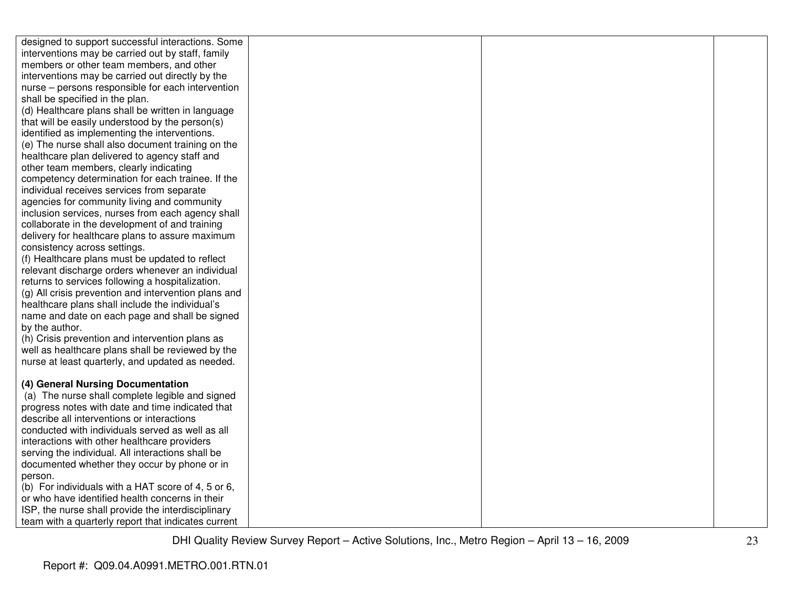| designed to support successful interactions. Some                                                    |  |  |
|------------------------------------------------------------------------------------------------------|--|--|
| interventions may be carried out by staff, family                                                    |  |  |
| members or other team members, and other                                                             |  |  |
| interventions may be carried out directly by the                                                     |  |  |
| nurse - persons responsible for each intervention                                                    |  |  |
| shall be specified in the plan.                                                                      |  |  |
| (d) Healthcare plans shall be written in language                                                    |  |  |
| that will be easily understood by the person(s)                                                      |  |  |
| identified as implementing the interventions.                                                        |  |  |
| (e) The nurse shall also document training on the                                                    |  |  |
| healthcare plan delivered to agency staff and                                                        |  |  |
| other team members, clearly indicating                                                               |  |  |
| competency determination for each trainee. If the                                                    |  |  |
| individual receives services from separate                                                           |  |  |
| agencies for community living and community                                                          |  |  |
| inclusion services, nurses from each agency shall                                                    |  |  |
| collaborate in the development of and training                                                       |  |  |
| delivery for healthcare plans to assure maximum                                                      |  |  |
| consistency across settings.                                                                         |  |  |
| (f) Healthcare plans must be updated to reflect                                                      |  |  |
| relevant discharge orders whenever an individual                                                     |  |  |
| returns to services following a hospitalization.                                                     |  |  |
| (g) All crisis prevention and intervention plans and                                                 |  |  |
| healthcare plans shall include the individual's                                                      |  |  |
| name and date on each page and shall be signed                                                       |  |  |
| by the author.                                                                                       |  |  |
| (h) Crisis prevention and intervention plans as<br>well as healthcare plans shall be reviewed by the |  |  |
| nurse at least quarterly, and updated as needed.                                                     |  |  |
|                                                                                                      |  |  |
| (4) General Nursing Documentation                                                                    |  |  |
| (a) The nurse shall complete legible and signed                                                      |  |  |
| progress notes with date and time indicated that                                                     |  |  |
| describe all interventions or interactions                                                           |  |  |
| conducted with individuals served as well as all                                                     |  |  |
| interactions with other healthcare providers                                                         |  |  |
| serving the individual. All interactions shall be                                                    |  |  |
| documented whether they occur by phone or in                                                         |  |  |
| person.                                                                                              |  |  |
| (b) For individuals with a HAT score of 4, 5 or 6,                                                   |  |  |
| or who have identified health concerns in their                                                      |  |  |
| ISP, the nurse shall provide the interdisciplinary                                                   |  |  |
| team with a quarterly report that indicates current                                                  |  |  |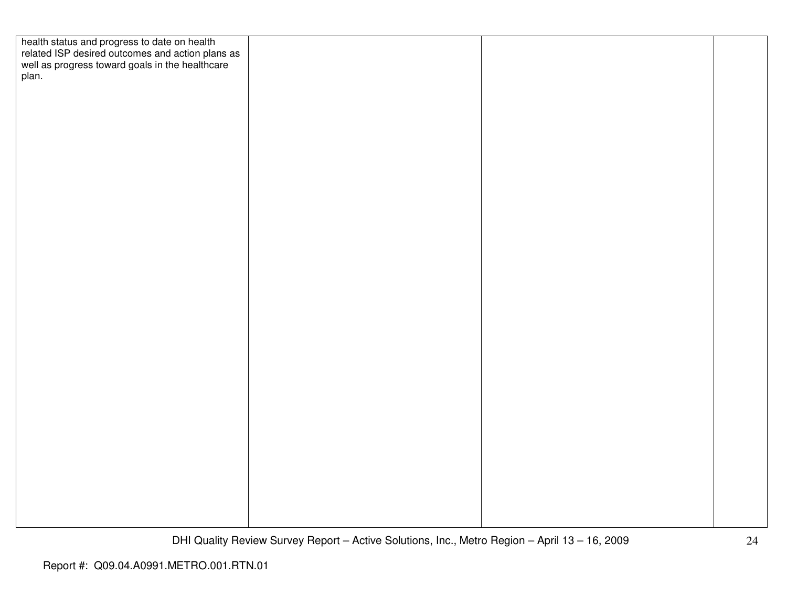| health status and progress to date on health<br>related ISP desired outcomes and action plans as<br>well as progress toward goals in the healthcare<br>plan. |  |  |
|--------------------------------------------------------------------------------------------------------------------------------------------------------------|--|--|
|                                                                                                                                                              |  |  |
|                                                                                                                                                              |  |  |
|                                                                                                                                                              |  |  |
|                                                                                                                                                              |  |  |
|                                                                                                                                                              |  |  |
|                                                                                                                                                              |  |  |
|                                                                                                                                                              |  |  |
|                                                                                                                                                              |  |  |
|                                                                                                                                                              |  |  |
|                                                                                                                                                              |  |  |
|                                                                                                                                                              |  |  |
|                                                                                                                                                              |  |  |
|                                                                                                                                                              |  |  |
|                                                                                                                                                              |  |  |
|                                                                                                                                                              |  |  |
|                                                                                                                                                              |  |  |
|                                                                                                                                                              |  |  |
|                                                                                                                                                              |  |  |
|                                                                                                                                                              |  |  |
|                                                                                                                                                              |  |  |
|                                                                                                                                                              |  |  |
|                                                                                                                                                              |  |  |
|                                                                                                                                                              |  |  |
|                                                                                                                                                              |  |  |
|                                                                                                                                                              |  |  |
|                                                                                                                                                              |  |  |
|                                                                                                                                                              |  |  |
|                                                                                                                                                              |  |  |
|                                                                                                                                                              |  |  |
|                                                                                                                                                              |  |  |
|                                                                                                                                                              |  |  |
|                                                                                                                                                              |  |  |
|                                                                                                                                                              |  |  |
|                                                                                                                                                              |  |  |
|                                                                                                                                                              |  |  |
|                                                                                                                                                              |  |  |
|                                                                                                                                                              |  |  |
|                                                                                                                                                              |  |  |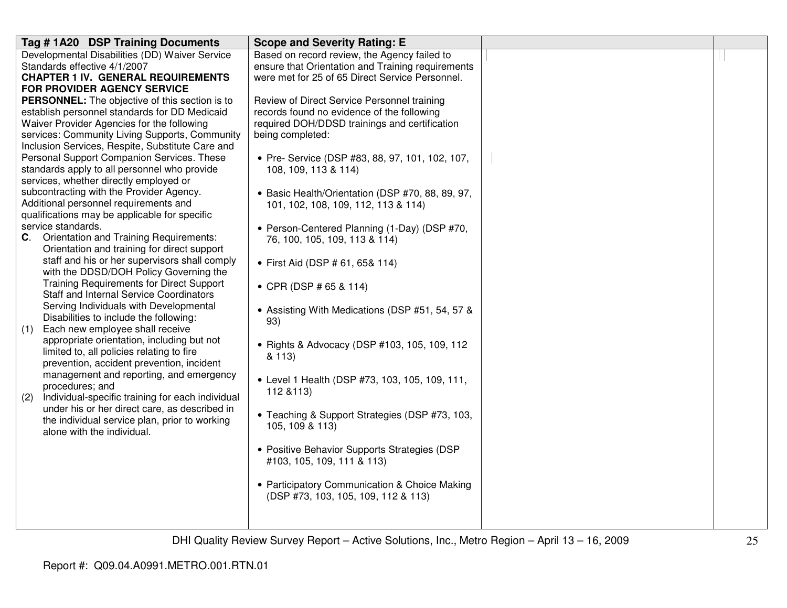| Tag #1A20 DSP Training Documents                                                   | <b>Scope and Severity Rating: E</b>                                           |  |
|------------------------------------------------------------------------------------|-------------------------------------------------------------------------------|--|
| Developmental Disabilities (DD) Waiver Service                                     | Based on record review, the Agency failed to                                  |  |
| Standards effective 4/1/2007                                                       | ensure that Orientation and Training requirements                             |  |
| <b>CHAPTER 1 IV. GENERAL REQUIREMENTS</b>                                          | were met for 25 of 65 Direct Service Personnel.                               |  |
| FOR PROVIDER AGENCY SERVICE                                                        |                                                                               |  |
| PERSONNEL: The objective of this section is to                                     | Review of Direct Service Personnel training                                   |  |
| establish personnel standards for DD Medicaid                                      | records found no evidence of the following                                    |  |
| Waiver Provider Agencies for the following                                         | required DOH/DDSD trainings and certification                                 |  |
| services: Community Living Supports, Community                                     | being completed:                                                              |  |
| Inclusion Services, Respite, Substitute Care and                                   |                                                                               |  |
| Personal Support Companion Services. These                                         | • Pre- Service (DSP #83, 88, 97, 101, 102, 107,                               |  |
| standards apply to all personnel who provide                                       | 108, 109, 113 & 114)                                                          |  |
| services, whether directly employed or<br>subcontracting with the Provider Agency. |                                                                               |  |
| Additional personnel requirements and                                              | • Basic Health/Orientation (DSP #70, 88, 89, 97,                              |  |
| qualifications may be applicable for specific                                      | 101, 102, 108, 109, 112, 113 & 114)                                           |  |
| service standards.                                                                 |                                                                               |  |
| C. Orientation and Training Requirements:                                          | • Person-Centered Planning (1-Day) (DSP #70,<br>76, 100, 105, 109, 113 & 114) |  |
| Orientation and training for direct support                                        |                                                                               |  |
| staff and his or her supervisors shall comply                                      | • First Aid (DSP # 61, 65& 114)                                               |  |
| with the DDSD/DOH Policy Governing the                                             |                                                                               |  |
| <b>Training Requirements for Direct Support</b>                                    | • CPR (DSP # 65 & 114)                                                        |  |
| <b>Staff and Internal Service Coordinators</b>                                     |                                                                               |  |
| Serving Individuals with Developmental                                             | • Assisting With Medications (DSP #51, 54, 57 &                               |  |
| Disabilities to include the following:                                             | 93)                                                                           |  |
| Each new employee shall receive<br>(1)                                             |                                                                               |  |
| appropriate orientation, including but not                                         | • Rights & Advocacy (DSP #103, 105, 109, 112                                  |  |
| limited to, all policies relating to fire                                          | & 113)                                                                        |  |
| prevention, accident prevention, incident                                          |                                                                               |  |
| management and reporting, and emergency                                            | • Level 1 Health (DSP #73, 103, 105, 109, 111,                                |  |
| procedures; and                                                                    | 112 & 113)                                                                    |  |
| Individual-specific training for each individual<br>(2)                            |                                                                               |  |
| under his or her direct care, as described in                                      | • Teaching & Support Strategies (DSP #73, 103,                                |  |
| the individual service plan, prior to working                                      | 105, 109 & 113)                                                               |  |
| alone with the individual.                                                         |                                                                               |  |
|                                                                                    | • Positive Behavior Supports Strategies (DSP                                  |  |
|                                                                                    | #103, 105, 109, 111 & 113)                                                    |  |
|                                                                                    |                                                                               |  |
|                                                                                    | • Participatory Communication & Choice Making                                 |  |
|                                                                                    | (DSP #73, 103, 105, 109, 112 & 113)                                           |  |
|                                                                                    |                                                                               |  |
|                                                                                    |                                                                               |  |
|                                                                                    |                                                                               |  |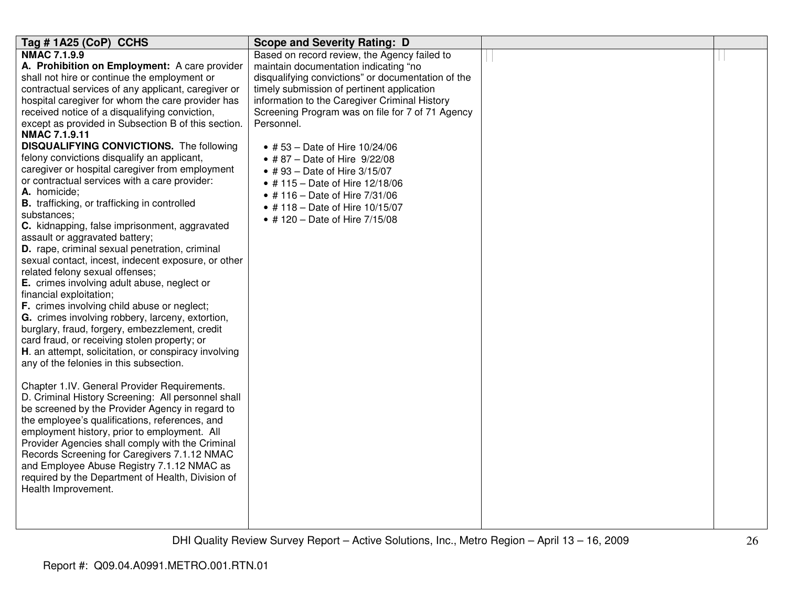| Tag # 1A25 (CoP) CCHS                                                                  | <b>Scope and Severity Rating: D</b>                |  |
|----------------------------------------------------------------------------------------|----------------------------------------------------|--|
| <b>NMAC 7.1.9.9</b>                                                                    | Based on record review, the Agency failed to       |  |
| A. Prohibition on Employment: A care provider                                          | maintain documentation indicating "no              |  |
| shall not hire or continue the employment or                                           | disqualifying convictions" or documentation of the |  |
| contractual services of any applicant, caregiver or                                    | timely submission of pertinent application         |  |
| hospital caregiver for whom the care provider has                                      | information to the Caregiver Criminal History      |  |
| received notice of a disqualifying conviction,                                         | Screening Program was on file for 7 of 71 Agency   |  |
| except as provided in Subsection B of this section.<br><b>NMAC 7.1.9.11</b>            | Personnel.                                         |  |
| <b>DISQUALIFYING CONVICTIONS.</b> The following                                        | • #53 – Date of Hire $10/24/06$                    |  |
| felony convictions disqualify an applicant,                                            | • #87 – Date of Hire $9/22/08$                     |  |
| caregiver or hospital caregiver from employment                                        | • #93 – Date of Hire $3/15/07$                     |  |
| or contractual services with a care provider:                                          | • #115 - Date of Hire 12/18/06                     |  |
| A. homicide;                                                                           | • #116 - Date of Hire 7/31/06                      |  |
| B. trafficking, or trafficking in controlled                                           | • #118 - Date of Hire 10/15/07                     |  |
| substances;                                                                            | • #120 - Date of Hire 7/15/08                      |  |
| C. kidnapping, false imprisonment, aggravated                                          |                                                    |  |
| assault or aggravated battery;                                                         |                                                    |  |
| D. rape, criminal sexual penetration, criminal                                         |                                                    |  |
| sexual contact, incest, indecent exposure, or other<br>related felony sexual offenses; |                                                    |  |
| E. crimes involving adult abuse, neglect or                                            |                                                    |  |
| financial exploitation;                                                                |                                                    |  |
| F. crimes involving child abuse or neglect;                                            |                                                    |  |
| G. crimes involving robbery, larceny, extortion,                                       |                                                    |  |
| burglary, fraud, forgery, embezzlement, credit                                         |                                                    |  |
| card fraud, or receiving stolen property; or                                           |                                                    |  |
| H. an attempt, solicitation, or conspiracy involving                                   |                                                    |  |
| any of the felonies in this subsection.                                                |                                                    |  |
|                                                                                        |                                                    |  |
| Chapter 1.IV. General Provider Requirements.                                           |                                                    |  |
| D. Criminal History Screening: All personnel shall                                     |                                                    |  |
| be screened by the Provider Agency in regard to                                        |                                                    |  |
| the employee's qualifications, references, and                                         |                                                    |  |
| employment history, prior to employment. All                                           |                                                    |  |
| Provider Agencies shall comply with the Criminal                                       |                                                    |  |
| Records Screening for Caregivers 7.1.12 NMAC                                           |                                                    |  |
| and Employee Abuse Registry 7.1.12 NMAC as                                             |                                                    |  |
| required by the Department of Health, Division of                                      |                                                    |  |
| Health Improvement.                                                                    |                                                    |  |
|                                                                                        |                                                    |  |
|                                                                                        |                                                    |  |
|                                                                                        |                                                    |  |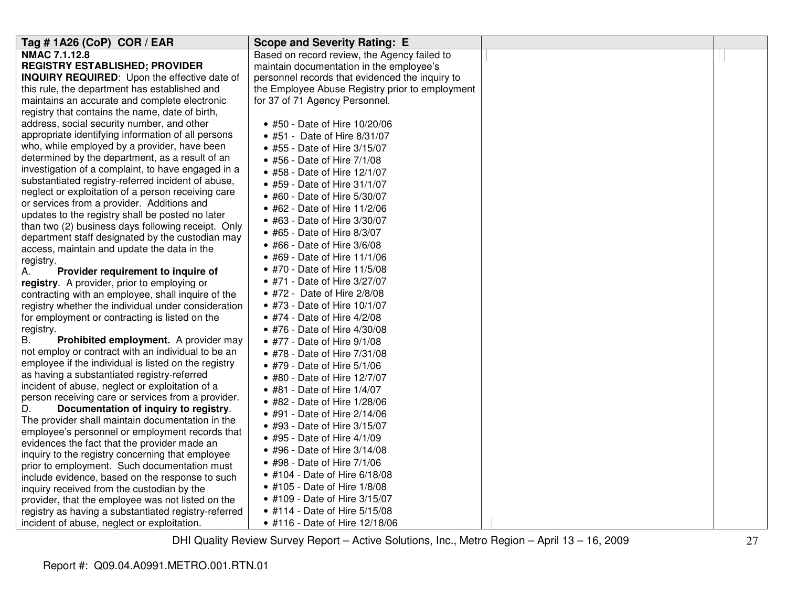| Tag # 1A26 (CoP) COR / EAR                           | <b>Scope and Severity Rating: E</b>             |  |
|------------------------------------------------------|-------------------------------------------------|--|
| NMAC 7.1.12.8                                        | Based on record review, the Agency failed to    |  |
| <b>REGISTRY ESTABLISHED; PROVIDER</b>                | maintain documentation in the employee's        |  |
| <b>INQUIRY REQUIRED:</b> Upon the effective date of  | personnel records that evidenced the inquiry to |  |
| this rule, the department has established and        | the Employee Abuse Registry prior to employment |  |
| maintains an accurate and complete electronic        | for 37 of 71 Agency Personnel.                  |  |
| registry that contains the name, date of birth,      |                                                 |  |
| address, social security number, and other           | • #50 - Date of Hire 10/20/06                   |  |
| appropriate identifying information of all persons   | • #51 - Date of Hire 8/31/07                    |  |
| who, while employed by a provider, have been         | • #55 - Date of Hire 3/15/07                    |  |
| determined by the department, as a result of an      | • #56 - Date of Hire 7/1/08                     |  |
| investigation of a complaint, to have engaged in a   | • #58 - Date of Hire 12/1/07                    |  |
| substantiated registry-referred incident of abuse,   | • #59 - Date of Hire 31/1/07                    |  |
| neglect or exploitation of a person receiving care   | • #60 - Date of Hire 5/30/07                    |  |
| or services from a provider. Additions and           | • #62 - Date of Hire 11/2/06                    |  |
| updates to the registry shall be posted no later     | • #63 - Date of Hire $3/30/07$                  |  |
| than two (2) business days following receipt. Only   | • #65 - Date of Hire 8/3/07                     |  |
| department staff designated by the custodian may     | • #66 - Date of Hire 3/6/08                     |  |
| access, maintain and update the data in the          | • #69 - Date of Hire 11/1/06                    |  |
| registry.<br>Provider requirement to inquire of      | • #70 - Date of Hire 11/5/08                    |  |
| А.<br>registry. A provider, prior to employing or    | • #71 - Date of Hire 3/27/07                    |  |
| contracting with an employee, shall inquire of the   | • #72 - Date of Hire 2/8/08                     |  |
| registry whether the individual under consideration  | • #73 - Date of Hire 10/1/07                    |  |
| for employment or contracting is listed on the       | • #74 - Date of Hire 4/2/08                     |  |
| registry.                                            | • #76 - Date of Hire 4/30/08                    |  |
| Prohibited employment. A provider may<br>В.          | • #77 - Date of Hire 9/1/08                     |  |
| not employ or contract with an individual to be an   | • #78 - Date of Hire 7/31/08                    |  |
| employee if the individual is listed on the registry | • #79 - Date of Hire 5/1/06                     |  |
| as having a substantiated registry-referred          | • #80 - Date of Hire 12/7/07                    |  |
| incident of abuse, neglect or exploitation of a      | • #81 - Date of Hire 1/4/07                     |  |
| person receiving care or services from a provider.   | • #82 - Date of Hire 1/28/06                    |  |
| D.<br>Documentation of inquiry to registry.          | • #91 - Date of Hire $2/14/06$                  |  |
| The provider shall maintain documentation in the     | • #93 - Date of Hire 3/15/07                    |  |
| employee's personnel or employment records that      |                                                 |  |
| evidences the fact that the provider made an         | • #95 - Date of Hire 4/1/09                     |  |
| inquiry to the registry concerning that employee     | • #96 - Date of Hire $3/14/08$                  |  |
| prior to employment. Such documentation must         | • #98 - Date of Hire 7/1/06                     |  |
| include evidence, based on the response to such      | • #104 - Date of Hire 6/18/08                   |  |
| inquiry received from the custodian by the           | • #105 - Date of Hire 1/8/08                    |  |
| provider, that the employee was not listed on the    | • #109 - Date of Hire 3/15/07                   |  |
| registry as having a substantiated registry-referred | • #114 - Date of Hire 5/15/08                   |  |
| incident of abuse, neglect or exploitation.          | • #116 - Date of Hire 12/18/06                  |  |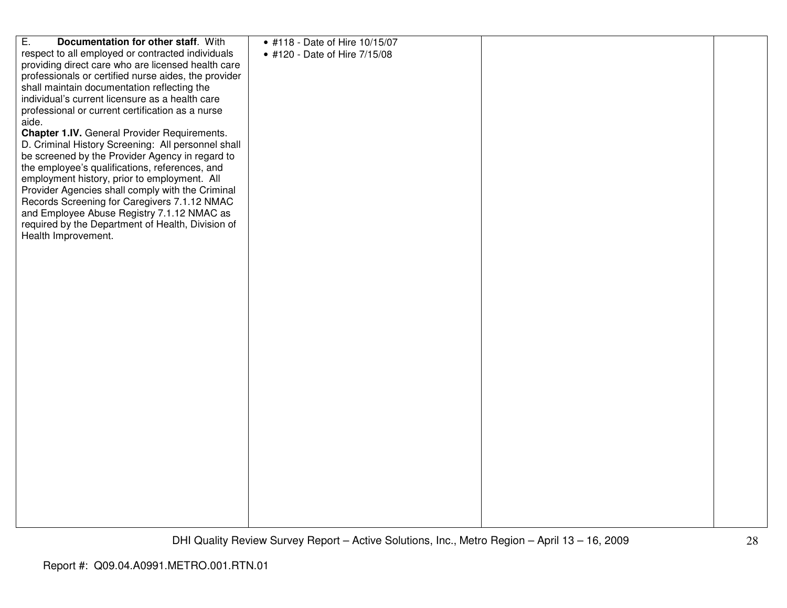| $\overline{E}$ .<br>Documentation for other staff. With | • #118 - Date of Hire 10/15/07 |  |
|---------------------------------------------------------|--------------------------------|--|
| respect to all employed or contracted individuals       | • #120 - Date of Hire 7/15/08  |  |
| providing direct care who are licensed health care      |                                |  |
| professionals or certified nurse aides, the provider    |                                |  |
| shall maintain documentation reflecting the             |                                |  |
|                                                         |                                |  |
| individual's current licensure as a health care         |                                |  |
| professional or current certification as a nurse        |                                |  |
| aide.                                                   |                                |  |
| Chapter 1.IV. General Provider Requirements.            |                                |  |
| D. Criminal History Screening: All personnel shall      |                                |  |
|                                                         |                                |  |
| be screened by the Provider Agency in regard to         |                                |  |
| the employee's qualifications, references, and          |                                |  |
| employment history, prior to employment. All            |                                |  |
| Provider Agencies shall comply with the Criminal        |                                |  |
| Records Screening for Caregivers 7.1.12 NMAC            |                                |  |
| and Employee Abuse Registry 7.1.12 NMAC as              |                                |  |
|                                                         |                                |  |
| required by the Department of Health, Division of       |                                |  |
| Health Improvement.                                     |                                |  |
|                                                         |                                |  |
|                                                         |                                |  |
|                                                         |                                |  |
|                                                         |                                |  |
|                                                         |                                |  |
|                                                         |                                |  |
|                                                         |                                |  |
|                                                         |                                |  |
|                                                         |                                |  |
|                                                         |                                |  |
|                                                         |                                |  |
|                                                         |                                |  |
|                                                         |                                |  |
|                                                         |                                |  |
|                                                         |                                |  |
|                                                         |                                |  |
|                                                         |                                |  |
|                                                         |                                |  |
|                                                         |                                |  |
|                                                         |                                |  |
|                                                         |                                |  |
|                                                         |                                |  |
|                                                         |                                |  |
|                                                         |                                |  |
|                                                         |                                |  |
|                                                         |                                |  |
|                                                         |                                |  |
|                                                         |                                |  |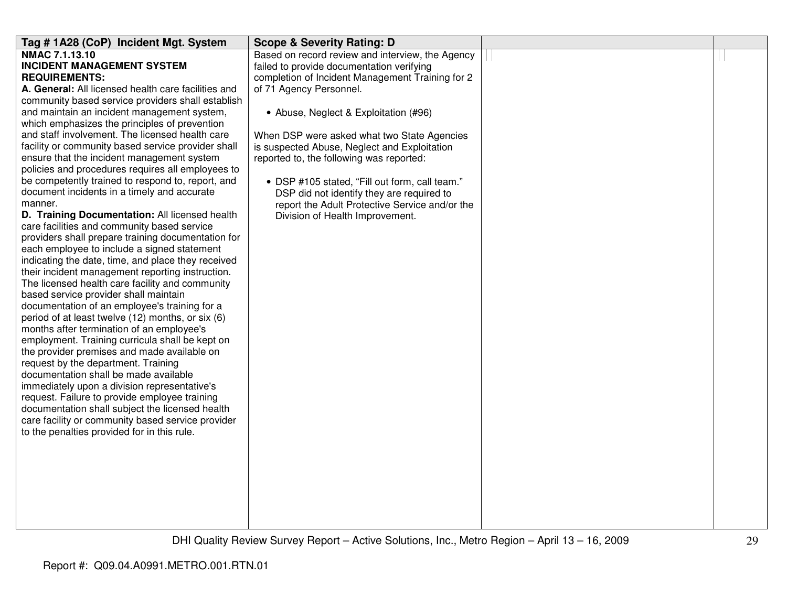| Tag # 1A28 (CoP) Incident Mgt. System                                                               | <b>Scope &amp; Severity Rating: D</b>            |  |
|-----------------------------------------------------------------------------------------------------|--------------------------------------------------|--|
| NMAC 7.1.13.10                                                                                      | Based on record review and interview, the Agency |  |
| <b>INCIDENT MANAGEMENT SYSTEM</b>                                                                   | failed to provide documentation verifying        |  |
| <b>REQUIREMENTS:</b>                                                                                | completion of Incident Management Training for 2 |  |
| A. General: All licensed health care facilities and                                                 | of 71 Agency Personnel.                          |  |
| community based service providers shall establish                                                   |                                                  |  |
| and maintain an incident management system,                                                         | • Abuse, Neglect & Exploitation (#96)            |  |
| which emphasizes the principles of prevention                                                       |                                                  |  |
| and staff involvement. The licensed health care                                                     | When DSP were asked what two State Agencies      |  |
| facility or community based service provider shall                                                  | is suspected Abuse, Neglect and Exploitation     |  |
| ensure that the incident management system                                                          | reported to, the following was reported:         |  |
| policies and procedures requires all employees to                                                   |                                                  |  |
| be competently trained to respond to, report, and                                                   | • DSP #105 stated, "Fill out form, call team."   |  |
| document incidents in a timely and accurate                                                         | DSP did not identify they are required to        |  |
| manner.                                                                                             | report the Adult Protective Service and/or the   |  |
| D. Training Documentation: All licensed health                                                      | Division of Health Improvement.                  |  |
| care facilities and community based service                                                         |                                                  |  |
| providers shall prepare training documentation for                                                  |                                                  |  |
| each employee to include a signed statement                                                         |                                                  |  |
| indicating the date, time, and place they received                                                  |                                                  |  |
| their incident management reporting instruction.<br>The licensed health care facility and community |                                                  |  |
| based service provider shall maintain                                                               |                                                  |  |
| documentation of an employee's training for a                                                       |                                                  |  |
| period of at least twelve (12) months, or six (6)                                                   |                                                  |  |
| months after termination of an employee's                                                           |                                                  |  |
| employment. Training curricula shall be kept on                                                     |                                                  |  |
| the provider premises and made available on                                                         |                                                  |  |
| request by the department. Training                                                                 |                                                  |  |
| documentation shall be made available                                                               |                                                  |  |
| immediately upon a division representative's                                                        |                                                  |  |
| request. Failure to provide employee training                                                       |                                                  |  |
| documentation shall subject the licensed health                                                     |                                                  |  |
| care facility or community based service provider                                                   |                                                  |  |
| to the penalties provided for in this rule.                                                         |                                                  |  |
|                                                                                                     |                                                  |  |
|                                                                                                     |                                                  |  |
|                                                                                                     |                                                  |  |
|                                                                                                     |                                                  |  |
|                                                                                                     |                                                  |  |
|                                                                                                     |                                                  |  |
|                                                                                                     |                                                  |  |
|                                                                                                     |                                                  |  |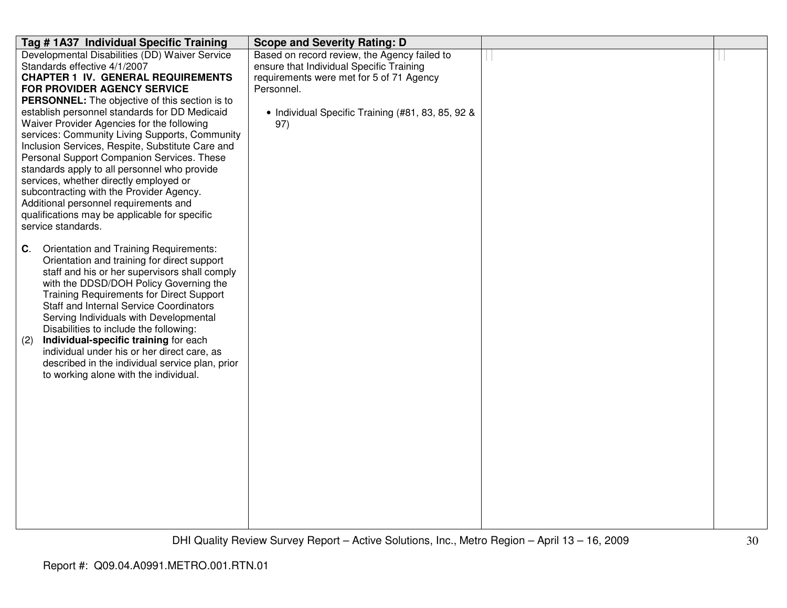| Tag # 1A37 Individual Specific Training                             | <b>Scope and Severity Rating: D</b>               |  |
|---------------------------------------------------------------------|---------------------------------------------------|--|
| Developmental Disabilities (DD) Waiver Service                      | Based on record review, the Agency failed to      |  |
| Standards effective 4/1/2007                                        | ensure that Individual Specific Training          |  |
| <b>CHAPTER 1 IV. GENERAL REQUIREMENTS</b>                           | requirements were met for 5 of 71 Agency          |  |
| FOR PROVIDER AGENCY SERVICE                                         | Personnel.                                        |  |
| PERSONNEL: The objective of this section is to                      |                                                   |  |
| establish personnel standards for DD Medicaid                       | • Individual Specific Training (#81, 83, 85, 92 & |  |
| Waiver Provider Agencies for the following                          | 97)                                               |  |
| services: Community Living Supports, Community                      |                                                   |  |
| Inclusion Services, Respite, Substitute Care and                    |                                                   |  |
| Personal Support Companion Services. These                          |                                                   |  |
| standards apply to all personnel who provide                        |                                                   |  |
| services, whether directly employed or                              |                                                   |  |
| subcontracting with the Provider Agency.                            |                                                   |  |
| Additional personnel requirements and                               |                                                   |  |
| qualifications may be applicable for specific<br>service standards. |                                                   |  |
|                                                                     |                                                   |  |
| Orientation and Training Requirements:<br>C.                        |                                                   |  |
| Orientation and training for direct support                         |                                                   |  |
| staff and his or her supervisors shall comply                       |                                                   |  |
| with the DDSD/DOH Policy Governing the                              |                                                   |  |
| <b>Training Requirements for Direct Support</b>                     |                                                   |  |
| <b>Staff and Internal Service Coordinators</b>                      |                                                   |  |
| Serving Individuals with Developmental                              |                                                   |  |
| Disabilities to include the following:                              |                                                   |  |
| Individual-specific training for each<br>(2)                        |                                                   |  |
| individual under his or her direct care, as                         |                                                   |  |
| described in the individual service plan, prior                     |                                                   |  |
| to working alone with the individual.                               |                                                   |  |
|                                                                     |                                                   |  |
|                                                                     |                                                   |  |
|                                                                     |                                                   |  |
|                                                                     |                                                   |  |
|                                                                     |                                                   |  |
|                                                                     |                                                   |  |
|                                                                     |                                                   |  |
|                                                                     |                                                   |  |
|                                                                     |                                                   |  |
|                                                                     |                                                   |  |
|                                                                     |                                                   |  |
|                                                                     |                                                   |  |
|                                                                     |                                                   |  |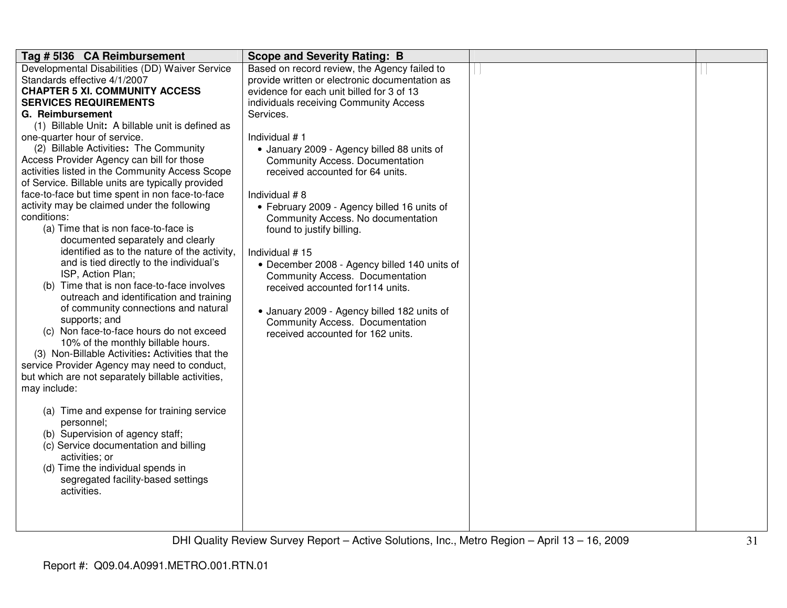| Tag # 5136 CA Reimbursement                                                            | <b>Scope and Severity Rating: B</b>            |  |
|----------------------------------------------------------------------------------------|------------------------------------------------|--|
| Developmental Disabilities (DD) Waiver Service                                         | Based on record review, the Agency failed to   |  |
| Standards effective 4/1/2007                                                           | provide written or electronic documentation as |  |
| <b>CHAPTER 5 XI. COMMUNITY ACCESS</b>                                                  | evidence for each unit billed for 3 of 13      |  |
| <b>SERVICES REQUIREMENTS</b>                                                           | individuals receiving Community Access         |  |
| G. Reimbursement                                                                       | Services.                                      |  |
| (1) Billable Unit: A billable unit is defined as                                       |                                                |  |
| one-quarter hour of service.                                                           | Individual #1                                  |  |
| (2) Billable Activities: The Community                                                 | • January 2009 - Agency billed 88 units of     |  |
| Access Provider Agency can bill for those                                              | <b>Community Access. Documentation</b>         |  |
| activities listed in the Community Access Scope                                        | received accounted for 64 units.               |  |
| of Service. Billable units are typically provided                                      |                                                |  |
| face-to-face but time spent in non face-to-face                                        | Individual #8                                  |  |
| activity may be claimed under the following                                            | • February 2009 - Agency billed 16 units of    |  |
| conditions:                                                                            | Community Access. No documentation             |  |
| (a) Time that is non face-to-face is                                                   | found to justify billing.                      |  |
| documented separately and clearly                                                      |                                                |  |
| identified as to the nature of the activity,                                           | Individual #15                                 |  |
| and is tied directly to the individual's                                               | • December 2008 - Agency billed 140 units of   |  |
| ISP, Action Plan;                                                                      | <b>Community Access. Documentation</b>         |  |
| (b) Time that is non face-to-face involves                                             | received accounted for114 units.               |  |
| outreach and identification and training                                               |                                                |  |
| of community connections and natural                                                   | • January 2009 - Agency billed 182 units of    |  |
| supports; and                                                                          | Community Access. Documentation                |  |
| (c) Non face-to-face hours do not exceed                                               | received accounted for 162 units.              |  |
| 10% of the monthly billable hours.<br>(3) Non-Billable Activities: Activities that the |                                                |  |
| service Provider Agency may need to conduct,                                           |                                                |  |
|                                                                                        |                                                |  |
| but which are not separately billable activities,<br>may include:                      |                                                |  |
|                                                                                        |                                                |  |
| (a) Time and expense for training service                                              |                                                |  |
| personnel;                                                                             |                                                |  |
| (b) Supervision of agency staff;                                                       |                                                |  |
| (c) Service documentation and billing                                                  |                                                |  |
| activities; or                                                                         |                                                |  |
| (d) Time the individual spends in                                                      |                                                |  |
| segregated facility-based settings                                                     |                                                |  |
| activities.                                                                            |                                                |  |
|                                                                                        |                                                |  |
|                                                                                        |                                                |  |
|                                                                                        |                                                |  |
|                                                                                        |                                                |  |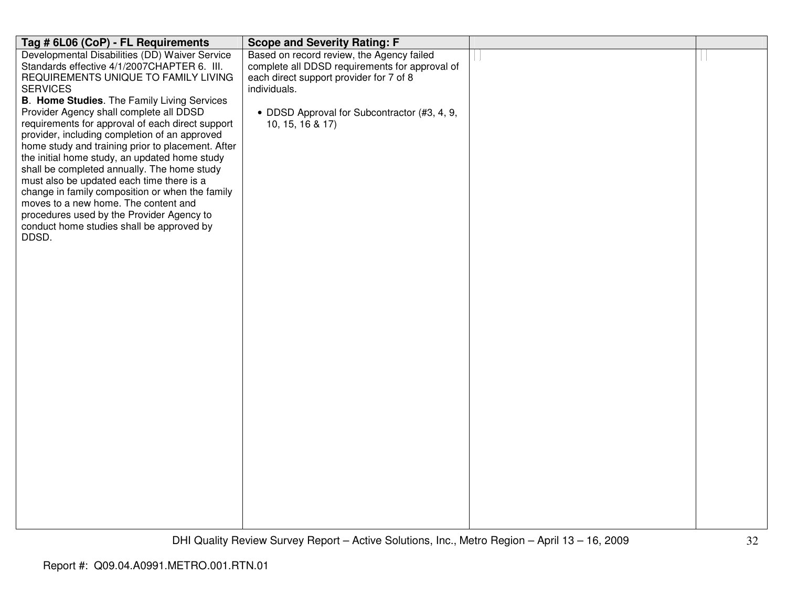| Tag # 6L06 (CoP) - FL Requirements                                                                 | <b>Scope and Severity Rating: F</b>                                                       |  |
|----------------------------------------------------------------------------------------------------|-------------------------------------------------------------------------------------------|--|
| Developmental Disabilities (DD) Waiver Service                                                     | Based on record review, the Agency failed                                                 |  |
| Standards effective 4/1/2007CHAPTER 6. III.<br>REQUIREMENTS UNIQUE TO FAMILY LIVING                | complete all DDSD requirements for approval of<br>each direct support provider for 7 of 8 |  |
| <b>SERVICES</b>                                                                                    | individuals.                                                                              |  |
| <b>B. Home Studies.</b> The Family Living Services                                                 |                                                                                           |  |
| Provider Agency shall complete all DDSD                                                            | • DDSD Approval for Subcontractor (#3, 4, 9,                                              |  |
| requirements for approval of each direct support                                                   | 10, 15, 16 & 17)                                                                          |  |
| provider, including completion of an approved<br>home study and training prior to placement. After |                                                                                           |  |
| the initial home study, an updated home study                                                      |                                                                                           |  |
| shall be completed annually. The home study                                                        |                                                                                           |  |
| must also be updated each time there is a                                                          |                                                                                           |  |
| change in family composition or when the family                                                    |                                                                                           |  |
| moves to a new home. The content and<br>procedures used by the Provider Agency to                  |                                                                                           |  |
| conduct home studies shall be approved by                                                          |                                                                                           |  |
| DDSD.                                                                                              |                                                                                           |  |
|                                                                                                    |                                                                                           |  |
|                                                                                                    |                                                                                           |  |
|                                                                                                    |                                                                                           |  |
|                                                                                                    |                                                                                           |  |
|                                                                                                    |                                                                                           |  |
|                                                                                                    |                                                                                           |  |
|                                                                                                    |                                                                                           |  |
|                                                                                                    |                                                                                           |  |
|                                                                                                    |                                                                                           |  |
|                                                                                                    |                                                                                           |  |
|                                                                                                    |                                                                                           |  |
|                                                                                                    |                                                                                           |  |
|                                                                                                    |                                                                                           |  |
|                                                                                                    |                                                                                           |  |
|                                                                                                    |                                                                                           |  |
|                                                                                                    |                                                                                           |  |
|                                                                                                    |                                                                                           |  |
|                                                                                                    |                                                                                           |  |
|                                                                                                    |                                                                                           |  |
|                                                                                                    |                                                                                           |  |
|                                                                                                    |                                                                                           |  |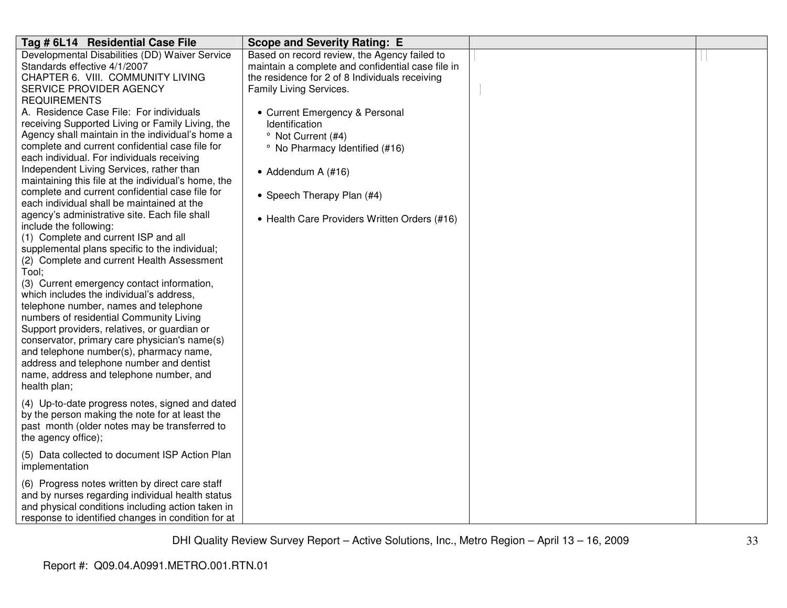| Tag # 6L14 Residential Case File                                                                                                                                                                                                                                                                                                                                                                                                                                                                                                                                                                                                                                                                                                                                                                                                                 | <b>Scope and Severity Rating: E</b>                                                                                                                                                                                                                                                                                                                                                                                |  |
|--------------------------------------------------------------------------------------------------------------------------------------------------------------------------------------------------------------------------------------------------------------------------------------------------------------------------------------------------------------------------------------------------------------------------------------------------------------------------------------------------------------------------------------------------------------------------------------------------------------------------------------------------------------------------------------------------------------------------------------------------------------------------------------------------------------------------------------------------|--------------------------------------------------------------------------------------------------------------------------------------------------------------------------------------------------------------------------------------------------------------------------------------------------------------------------------------------------------------------------------------------------------------------|--|
| Developmental Disabilities (DD) Waiver Service<br>Standards effective 4/1/2007<br>CHAPTER 6. VIII. COMMUNITY LIVING<br>SERVICE PROVIDER AGENCY<br><b>REQUIREMENTS</b><br>A. Residence Case File: For individuals<br>receiving Supported Living or Family Living, the<br>Agency shall maintain in the individual's home a<br>complete and current confidential case file for<br>each individual. For individuals receiving<br>Independent Living Services, rather than<br>maintaining this file at the individual's home, the<br>complete and current confidential case file for<br>each individual shall be maintained at the<br>agency's administrative site. Each file shall<br>include the following:<br>(1) Complete and current ISP and all<br>supplemental plans specific to the individual;<br>(2) Complete and current Health Assessment | Based on record review, the Agency failed to<br>maintain a complete and confidential case file in<br>the residence for 2 of 8 Individuals receiving<br>Family Living Services.<br>• Current Emergency & Personal<br><b>Identification</b><br><sup>o</sup> Not Current (#4)<br>° No Pharmacy Identified (#16)<br>• Addendum A $(#16)$<br>• Speech Therapy Plan (#4)<br>• Health Care Providers Written Orders (#16) |  |
| Tool;<br>(3) Current emergency contact information,<br>which includes the individual's address,<br>telephone number, names and telephone<br>numbers of residential Community Living<br>Support providers, relatives, or guardian or<br>conservator, primary care physician's name(s)<br>and telephone number(s), pharmacy name,<br>address and telephone number and dentist<br>name, address and telephone number, and<br>health plan;                                                                                                                                                                                                                                                                                                                                                                                                           |                                                                                                                                                                                                                                                                                                                                                                                                                    |  |
| (4) Up-to-date progress notes, signed and dated<br>by the person making the note for at least the<br>past month (older notes may be transferred to<br>the agency office);                                                                                                                                                                                                                                                                                                                                                                                                                                                                                                                                                                                                                                                                        |                                                                                                                                                                                                                                                                                                                                                                                                                    |  |
| (5) Data collected to document ISP Action Plan<br>implementation                                                                                                                                                                                                                                                                                                                                                                                                                                                                                                                                                                                                                                                                                                                                                                                 |                                                                                                                                                                                                                                                                                                                                                                                                                    |  |
| (6) Progress notes written by direct care staff<br>and by nurses regarding individual health status<br>and physical conditions including action taken in<br>response to identified changes in condition for at                                                                                                                                                                                                                                                                                                                                                                                                                                                                                                                                                                                                                                   |                                                                                                                                                                                                                                                                                                                                                                                                                    |  |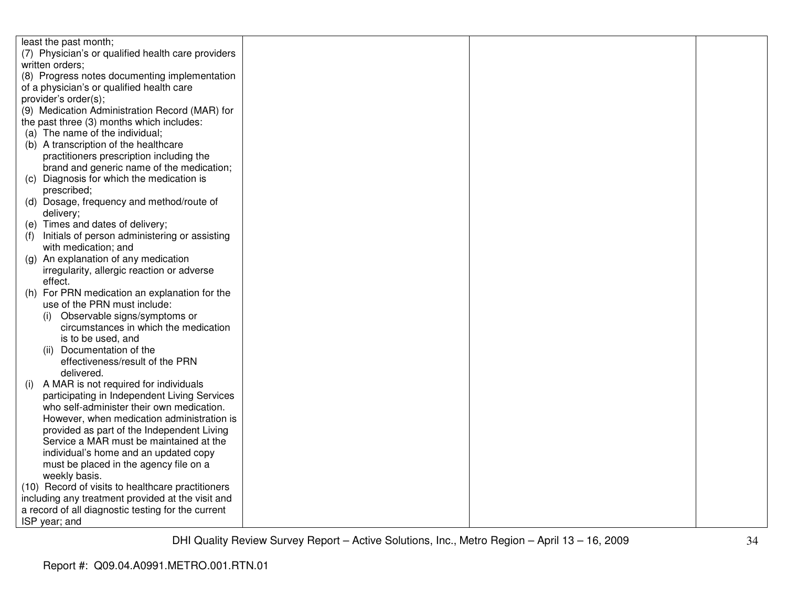| least the past month;                                |  |  |
|------------------------------------------------------|--|--|
| (7) Physician's or qualified health care providers   |  |  |
| written orders;                                      |  |  |
| (8) Progress notes documenting implementation        |  |  |
| of a physician's or qualified health care            |  |  |
| provider's order(s);                                 |  |  |
| (9) Medication Administration Record (MAR) for       |  |  |
| the past three (3) months which includes:            |  |  |
| (a) The name of the individual;                      |  |  |
| (b) A transcription of the healthcare                |  |  |
| practitioners prescription including the             |  |  |
| brand and generic name of the medication;            |  |  |
| (c) Diagnosis for which the medication is            |  |  |
| prescribed;                                          |  |  |
| (d) Dosage, frequency and method/route of            |  |  |
| delivery;                                            |  |  |
| (e) Times and dates of delivery;                     |  |  |
| Initials of person administering or assisting<br>(1) |  |  |
| with medication; and                                 |  |  |
| (g) An explanation of any medication                 |  |  |
| irregularity, allergic reaction or adverse           |  |  |
| effect.                                              |  |  |
| For PRN medication an explanation for the<br>(h)     |  |  |
| use of the PRN must include:                         |  |  |
| Observable signs/symptoms or<br>(1)                  |  |  |
| circumstances in which the medication                |  |  |
| is to be used, and                                   |  |  |
| Documentation of the<br>(ii)                         |  |  |
| effectiveness/result of the PRN                      |  |  |
| delivered.                                           |  |  |
| A MAR is not required for individuals<br>(i)         |  |  |
| participating in Independent Living Services         |  |  |
| who self-administer their own medication.            |  |  |
| However, when medication administration is           |  |  |
| provided as part of the Independent Living           |  |  |
| Service a MAR must be maintained at the              |  |  |
| individual's home and an updated copy                |  |  |
| must be placed in the agency file on a               |  |  |
| weekly basis.                                        |  |  |
| (10) Record of visits to healthcare practitioners    |  |  |
| including any treatment provided at the visit and    |  |  |
| a record of all diagnostic testing for the current   |  |  |
| ISP year; and                                        |  |  |